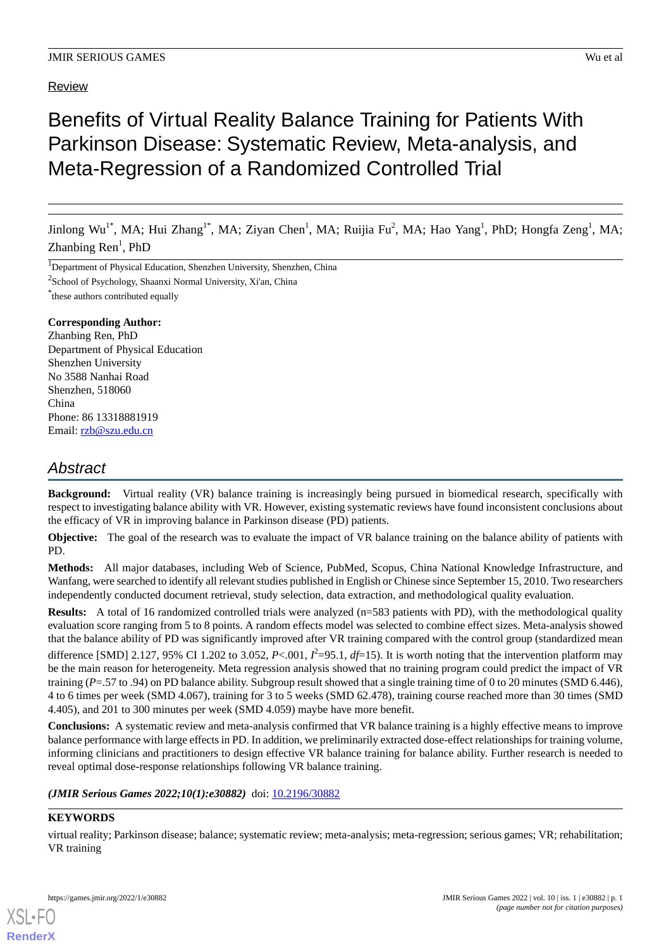# Review

# Benefits of Virtual Reality Balance Training for Patients With Parkinson Disease: Systematic Review, Meta-analysis, and Meta-Regression of a Randomized Controlled Trial

Jinlong Wu<sup>1\*</sup>, MA; Hui Zhang<sup>1\*</sup>, MA; Ziyan Chen<sup>1</sup>, MA; Ruijia Fu<sup>2</sup>, MA; Hao Yang<sup>1</sup>, PhD; Hongfa Zeng<sup>1</sup>, MA;  $\text{Zhanbing Ren}^1$ , PhD

<sup>1</sup>Department of Physical Education, Shenzhen University, Shenzhen, China

<sup>2</sup>School of Psychology, Shaanxi Normal University, Xi'an, China

\* these authors contributed equally

# **Corresponding Author:**

Zhanbing Ren, PhD Department of Physical Education Shenzhen University No 3588 Nanhai Road Shenzhen, 518060 China Phone: 86 13318881919 Email: [rzb@szu.edu.cn](mailto:rzb@szu.edu.cn)

# *Abstract*

**Background:** Virtual reality (VR) balance training is increasingly being pursued in biomedical research, specifically with respect to investigating balance ability with VR. However, existing systematic reviews have found inconsistent conclusions about the efficacy of VR in improving balance in Parkinson disease (PD) patients.

**Objective:** The goal of the research was to evaluate the impact of VR balance training on the balance ability of patients with PD.

**Methods:** All major databases, including Web of Science, PubMed, Scopus, China National Knowledge Infrastructure, and Wanfang, were searched to identify all relevant studies published in English or Chinese since September 15, 2010. Two researchers independently conducted document retrieval, study selection, data extraction, and methodological quality evaluation.

**Results:** A total of 16 randomized controlled trials were analyzed (n=583 patients with PD), with the methodological quality evaluation score ranging from 5 to 8 points. A random effects model was selected to combine effect sizes. Meta-analysis showed that the balance ability of PD was significantly improved after VR training compared with the control group (standardized mean difference [SMD] 2.127, 95% CI 1.202 to 3.052, *P*<.001,  $I^2$ =95.1,  $df$ =15). It is worth noting that the intervention platform may be the main reason for heterogeneity. Meta regression analysis showed that no training program could predict the impact of VR training (*P*=.57 to .94) on PD balance ability. Subgroup result showed that a single training time of 0 to 20 minutes (SMD 6.446), 4 to 6 times per week (SMD 4.067), training for 3 to 5 weeks (SMD 62.478), training course reached more than 30 times (SMD 4.405), and 201 to 300 minutes per week (SMD 4.059) maybe have more benefit.

**Conclusions:** A systematic review and meta-analysis confirmed that VR balance training is a highly effective means to improve balance performance with large effects in PD. In addition, we preliminarily extracted dose-effect relationships for training volume, informing clinicians and practitioners to design effective VR balance training for balance ability. Further research is needed to reveal optimal dose-response relationships following VR balance training.

# (JMIR Serious Games 2022;10(1):e30882) doi: [10.2196/30882](http://dx.doi.org/10.2196/30882)

# **KEYWORDS**

virtual reality; Parkinson disease; balance; systematic review; meta-analysis; meta-regression; serious games; VR; rehabilitation; VR training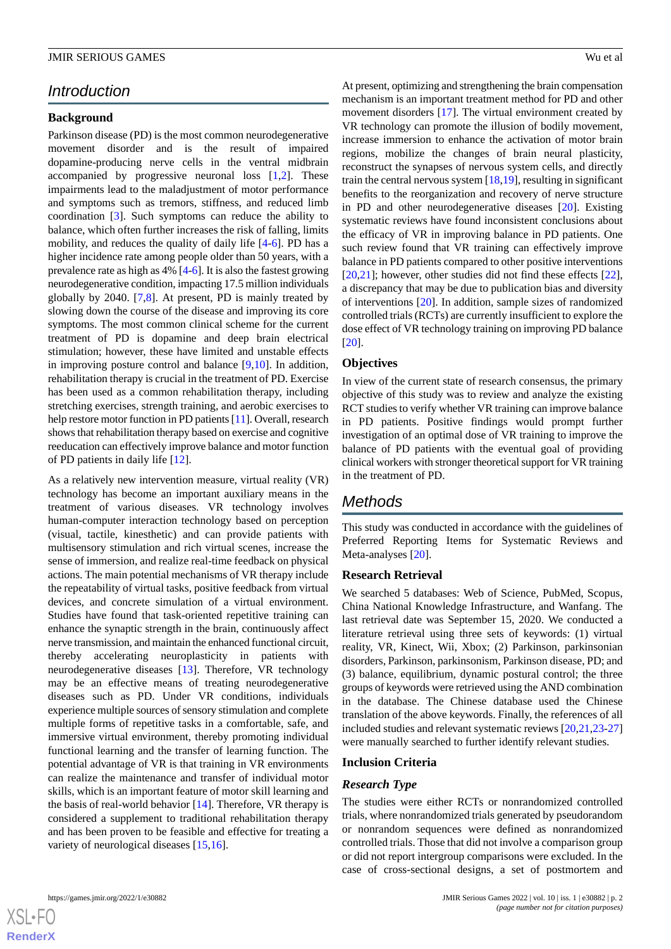# *Introduction*

### **Background**

Parkinson disease (PD) is the most common neurodegenerative movement disorder and is the result of impaired dopamine-producing nerve cells in the ventral midbrain accompanied by progressive neuronal loss  $[1,2]$  $[1,2]$  $[1,2]$  $[1,2]$ . These impairments lead to the maladjustment of motor performance and symptoms such as tremors, stiffness, and reduced limb coordination [\[3](#page-11-2)]. Such symptoms can reduce the ability to balance, which often further increases the risk of falling, limits mobility, and reduces the quality of daily life [[4-](#page-11-3)[6](#page-11-4)]. PD has a higher incidence rate among people older than 50 years, with a prevalence rate as high as 4% [\[4](#page-11-3)[-6](#page-11-4)]. It is also the fastest growing neurodegenerative condition, impacting 17.5 million individuals globally by 2040. [\[7](#page-11-5),[8](#page-11-6)]. At present, PD is mainly treated by slowing down the course of the disease and improving its core symptoms. The most common clinical scheme for the current treatment of PD is dopamine and deep brain electrical stimulation; however, these have limited and unstable effects in improving posture control and balance [[9,](#page-11-7)[10\]](#page-11-8). In addition, rehabilitation therapy is crucial in the treatment of PD. Exercise has been used as a common rehabilitation therapy, including stretching exercises, strength training, and aerobic exercises to help restore motor function in PD patients [\[11](#page-11-9)]. Overall, research shows that rehabilitation therapy based on exercise and cognitive reeducation can effectively improve balance and motor function of PD patients in daily life [\[12](#page-11-10)].

As a relatively new intervention measure, virtual reality (VR) technology has become an important auxiliary means in the treatment of various diseases. VR technology involves human-computer interaction technology based on perception (visual, tactile, kinesthetic) and can provide patients with multisensory stimulation and rich virtual scenes, increase the sense of immersion, and realize real-time feedback on physical actions. The main potential mechanisms of VR therapy include the repeatability of virtual tasks, positive feedback from virtual devices, and concrete simulation of a virtual environment. Studies have found that task-oriented repetitive training can enhance the synaptic strength in the brain, continuously affect nerve transmission, and maintain the enhanced functional circuit, thereby accelerating neuroplasticity in patients with neurodegenerative diseases [\[13](#page-11-11)]. Therefore, VR technology may be an effective means of treating neurodegenerative diseases such as PD. Under VR conditions, individuals experience multiple sources of sensory stimulation and complete multiple forms of repetitive tasks in a comfortable, safe, and immersive virtual environment, thereby promoting individual functional learning and the transfer of learning function. The potential advantage of VR is that training in VR environments can realize the maintenance and transfer of individual motor skills, which is an important feature of motor skill learning and the basis of real-world behavior [\[14](#page-11-12)]. Therefore, VR therapy is considered a supplement to traditional rehabilitation therapy and has been proven to be feasible and effective for treating a variety of neurological diseases [\[15](#page-11-13),[16\]](#page-11-14).

At present, optimizing and strengthening the brain compensation mechanism is an important treatment method for PD and other movement disorders [[17\]](#page-11-15). The virtual environment created by VR technology can promote the illusion of bodily movement, increase immersion to enhance the activation of motor brain regions, mobilize the changes of brain neural plasticity, reconstruct the synapses of nervous system cells, and directly train the central nervous system [[18](#page-11-16)[,19](#page-11-17)], resulting in significant benefits to the reorganization and recovery of nerve structure in PD and other neurodegenerative diseases [[20\]](#page-11-18). Existing systematic reviews have found inconsistent conclusions about the efficacy of VR in improving balance in PD patients. One such review found that VR training can effectively improve balance in PD patients compared to other positive interventions [[20,](#page-11-18)[21\]](#page-11-19); however, other studies did not find these effects [[22\]](#page-12-0), a discrepancy that may be due to publication bias and diversity of interventions [\[20](#page-11-18)]. In addition, sample sizes of randomized controlled trials (RCTs) are currently insufficient to explore the dose effect of VR technology training on improving PD balance [[20\]](#page-11-18).

# **Objectives**

In view of the current state of research consensus, the primary objective of this study was to review and analyze the existing RCT studies to verify whether VR training can improve balance in PD patients. Positive findings would prompt further investigation of an optimal dose of VR training to improve the balance of PD patients with the eventual goal of providing clinical workers with stronger theoretical support for VR training in the treatment of PD.

# *Methods*

This study was conducted in accordance with the guidelines of Preferred Reporting Items for Systematic Reviews and Meta-analyses [\[20](#page-11-18)].

### **Research Retrieval**

We searched 5 databases: Web of Science, PubMed, Scopus, China National Knowledge Infrastructure, and Wanfang. The last retrieval date was September 15, 2020. We conducted a literature retrieval using three sets of keywords: (1) virtual reality, VR, Kinect, Wii, Xbox; (2) Parkinson, parkinsonian disorders, Parkinson, parkinsonism, Parkinson disease, PD; and (3) balance, equilibrium, dynamic postural control; the three groups of keywords were retrieved using the AND combination in the database. The Chinese database used the Chinese translation of the above keywords. Finally, the references of all included studies and relevant systematic reviews [\[20](#page-11-18),[21,](#page-11-19)[23](#page-12-1)[-27](#page-12-2)] were manually searched to further identify relevant studies.

### **Inclusion Criteria**

### *Research Type*

The studies were either RCTs or nonrandomized controlled trials, where nonrandomized trials generated by pseudorandom or nonrandom sequences were defined as nonrandomized controlled trials. Those that did not involve a comparison group or did not report intergroup comparisons were excluded. In the case of cross-sectional designs, a set of postmortem and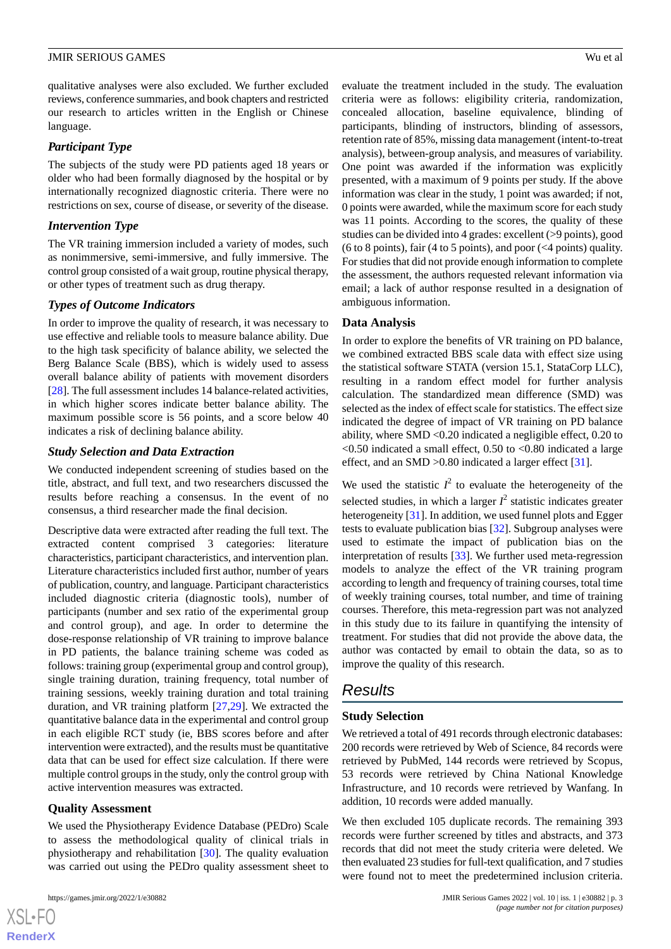qualitative analyses were also excluded. We further excluded reviews, conference summaries, and book chapters and restricted our research to articles written in the English or Chinese language.

### *Participant Type*

The subjects of the study were PD patients aged 18 years or older who had been formally diagnosed by the hospital or by internationally recognized diagnostic criteria. There were no restrictions on sex, course of disease, or severity of the disease.

# *Intervention Type*

The VR training immersion included a variety of modes, such as nonimmersive, semi-immersive, and fully immersive. The control group consisted of a wait group, routine physical therapy, or other types of treatment such as drug therapy.

# *Types of Outcome Indicators*

In order to improve the quality of research, it was necessary to use effective and reliable tools to measure balance ability. Due to the high task specificity of balance ability, we selected the Berg Balance Scale (BBS), which is widely used to assess overall balance ability of patients with movement disorders [[28\]](#page-12-3). The full assessment includes 14 balance-related activities, in which higher scores indicate better balance ability. The maximum possible score is 56 points, and a score below 40 indicates a risk of declining balance ability.

# *Study Selection and Data Extraction*

We conducted independent screening of studies based on the title, abstract, and full text, and two researchers discussed the results before reaching a consensus. In the event of no consensus, a third researcher made the final decision.

Descriptive data were extracted after reading the full text. The extracted content comprised 3 categories: literature characteristics, participant characteristics, and intervention plan. Literature characteristics included first author, number of years of publication, country, and language. Participant characteristics included diagnostic criteria (diagnostic tools), number of participants (number and sex ratio of the experimental group and control group), and age. In order to determine the dose-response relationship of VR training to improve balance in PD patients, the balance training scheme was coded as follows: training group (experimental group and control group), single training duration, training frequency, total number of training sessions, weekly training duration and total training duration, and VR training platform [[27](#page-12-2)[,29](#page-12-4)]. We extracted the quantitative balance data in the experimental and control group in each eligible RCT study (ie, BBS scores before and after intervention were extracted), and the results must be quantitative data that can be used for effect size calculation. If there were multiple control groups in the study, only the control group with active intervention measures was extracted.

### **Quality Assessment**

We used the Physiotherapy Evidence Database (PEDro) Scale to assess the methodological quality of clinical trials in physiotherapy and rehabilitation [[30\]](#page-12-5). The quality evaluation was carried out using the PEDro quality assessment sheet to

 $XS$  $\cdot$ FC **[RenderX](http://www.renderx.com/)**

evaluate the treatment included in the study. The evaluation criteria were as follows: eligibility criteria, randomization, concealed allocation, baseline equivalence, blinding of participants, blinding of instructors, blinding of assessors, retention rate of 85%, missing data management (intent-to-treat analysis), between-group analysis, and measures of variability. One point was awarded if the information was explicitly presented, with a maximum of 9 points per study. If the above information was clear in the study, 1 point was awarded; if not, 0 points were awarded, while the maximum score for each study was 11 points. According to the scores, the quality of these studies can be divided into 4 grades: excellent (>9 points), good (6 to 8 points), fair (4 to 5 points), and poor ( $\leq$ 4 points) quality. For studies that did not provide enough information to complete the assessment, the authors requested relevant information via email; a lack of author response resulted in a designation of ambiguous information.

# **Data Analysis**

In order to explore the benefits of VR training on PD balance, we combined extracted BBS scale data with effect size using the statistical software STATA (version 15.1, StataCorp LLC), resulting in a random effect model for further analysis calculation. The standardized mean difference (SMD) was selected as the index of effect scale for statistics. The effect size indicated the degree of impact of VR training on PD balance ability, where SMD <0.20 indicated a negligible effect, 0.20 to  $\leq$ 0.50 indicated a small effect, 0.50 to  $\leq$ 0.80 indicated a large effect, and an SMD >0.80 indicated a larger effect [[31\]](#page-12-6).

We used the statistic  $I^2$  to evaluate the heterogeneity of the selected studies, in which a larger  $I^2$  statistic indicates greater heterogeneity [[31\]](#page-12-6). In addition, we used funnel plots and Egger tests to evaluate publication bias [[32\]](#page-12-7). Subgroup analyses were used to estimate the impact of publication bias on the interpretation of results [[33\]](#page-12-8). We further used meta-regression models to analyze the effect of the VR training program according to length and frequency of training courses, total time of weekly training courses, total number, and time of training courses. Therefore, this meta-regression part was not analyzed in this study due to its failure in quantifying the intensity of treatment. For studies that did not provide the above data, the author was contacted by email to obtain the data, so as to improve the quality of this research.

# *Results*

# **Study Selection**

We retrieved a total of 491 records through electronic databases: 200 records were retrieved by Web of Science, 84 records were retrieved by PubMed, 144 records were retrieved by Scopus, 53 records were retrieved by China National Knowledge Infrastructure, and 10 records were retrieved by Wanfang. In addition, 10 records were added manually.

We then excluded 105 duplicate records. The remaining 393 records were further screened by titles and abstracts, and 373 records that did not meet the study criteria were deleted. We then evaluated 23 studies for full-text qualification, and 7 studies were found not to meet the predetermined inclusion criteria.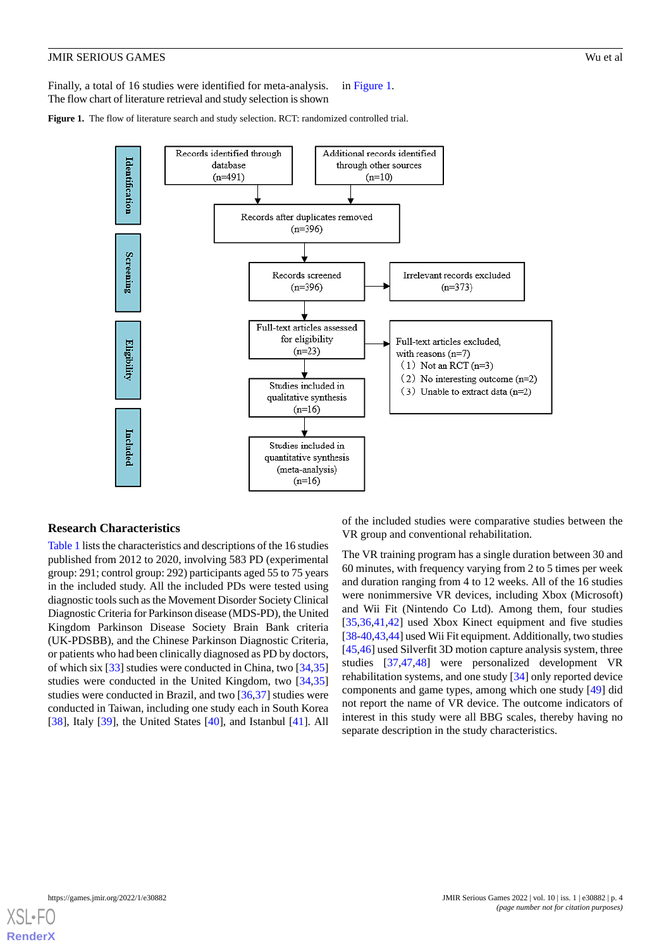Finally, a total of 16 studies were identified for meta-analysis. The flow chart of literature retrieval and study selection is shown in [Figure 1.](#page-3-0)

<span id="page-3-0"></span>**Figure 1.** The flow of literature search and study selection. RCT: randomized controlled trial.



### **Research Characteristics**

[Table 1](#page-4-0) lists the characteristics and descriptions of the 16 studies published from 2012 to 2020, involving 583 PD (experimental group: 291; control group: 292) participants aged 55 to 75 years in the included study. All the included PDs were tested using diagnostic tools such as the Movement Disorder Society Clinical Diagnostic Criteria for Parkinson disease (MDS-PD), the United Kingdom Parkinson Disease Society Brain Bank criteria (UK-PDSBB), and the Chinese Parkinson Diagnostic Criteria, or patients who had been clinically diagnosed as PD by doctors, of which six [[33\]](#page-12-8) studies were conducted in China, two [[34](#page-12-9)[,35](#page-12-10)] studies were conducted in the United Kingdom, two [[34](#page-12-9)[,35](#page-12-10)] studies were conducted in Brazil, and two [\[36](#page-12-11),[37\]](#page-12-12) studies were conducted in Taiwan, including one study each in South Korea [[38\]](#page-12-13), Italy [[39\]](#page-12-14), the United States [[40\]](#page-12-15), and Istanbul [[41\]](#page-12-16). All

of the included studies were comparative studies between the VR group and conventional rehabilitation.

The VR training program has a single duration between 30 and 60 minutes, with frequency varying from 2 to 5 times per week and duration ranging from 4 to 12 weeks. All of the 16 studies were nonimmersive VR devices, including Xbox (Microsoft) and Wii Fit (Nintendo Co Ltd). Among them, four studies [[35,](#page-12-10)[36,](#page-12-11)[41](#page-12-16)[,42](#page-12-17)] used Xbox Kinect equipment and five studies [[38-](#page-12-13)[40](#page-12-15)[,43](#page-12-18),[44\]](#page-13-0) used Wii Fit equipment. Additionally, two studies [[45,](#page-13-1)[46\]](#page-13-2) used Silverfit 3D motion capture analysis system, three studies [[37,](#page-12-12)[47](#page-13-3),[48\]](#page-13-4) were personalized development VR rehabilitation systems, and one study [[34\]](#page-12-9) only reported device components and game types, among which one study [[49\]](#page-13-5) did not report the name of VR device. The outcome indicators of interest in this study were all BBG scales, thereby having no separate description in the study characteristics.

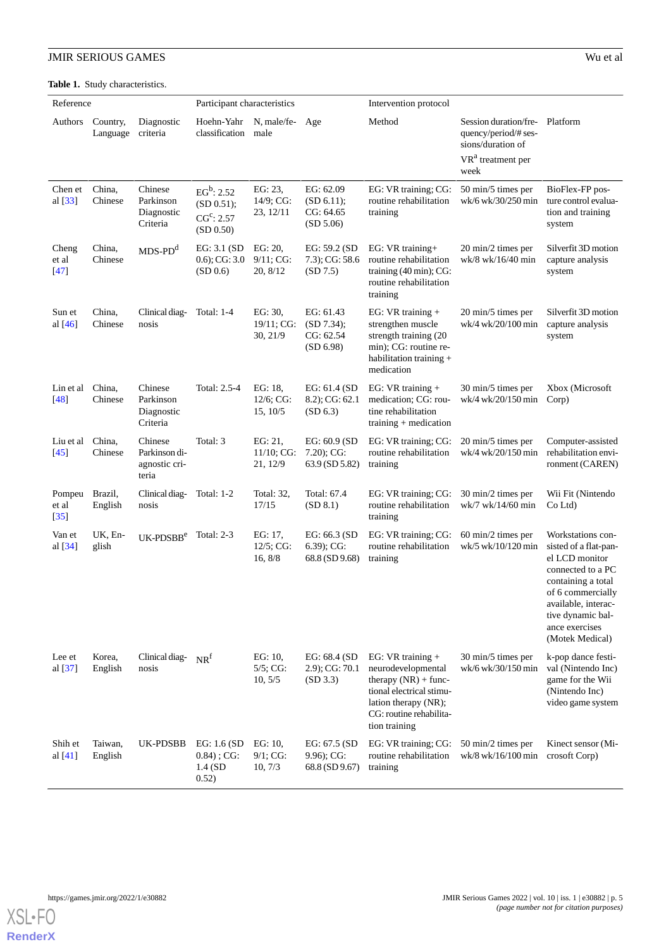<span id="page-4-0"></span>**Table 1.** Study characteristics.

| Reference                 |                      | Participant characteristics                        |                                                                   |                                    | Intervention protocol                             |                                                                                                                                                                     |                                                                                                             |                                                                                                                                                                                                               |  |  |
|---------------------------|----------------------|----------------------------------------------------|-------------------------------------------------------------------|------------------------------------|---------------------------------------------------|---------------------------------------------------------------------------------------------------------------------------------------------------------------------|-------------------------------------------------------------------------------------------------------------|---------------------------------------------------------------------------------------------------------------------------------------------------------------------------------------------------------------|--|--|
| Authors                   | Country,<br>Language | Diagnostic<br>criteria                             | Hoehn-Yahr<br>classification                                      | N, male/fe-<br>male                | Age                                               | Method                                                                                                                                                              | Session duration/fre-<br>quency/period/# ses-<br>sions/duration of<br>VR <sup>a</sup> treatment per<br>week | Platform                                                                                                                                                                                                      |  |  |
| Chen et<br>al $[33]$      | China,<br>Chinese    | Chinese<br>Parkinson<br>Diagnostic<br>Criteria     | $EG^b: 2.52$<br>(SD 0.51);<br>CG <sup>c</sup> : 2.57<br>(SD 0.50) | EG: 23,<br>14/9; CG:<br>23, 12/11  | EG: 62.09<br>(SD 6.11);<br>CG: 64.65<br>(SD 5.06) | EG: VR training; CG:<br>routine rehabilitation<br>training                                                                                                          | 50 min/5 times per<br>wk/6 wk/30/250 min                                                                    | BioFlex-FP pos-<br>ture control evalua-<br>tion and training<br>system                                                                                                                                        |  |  |
| Cheng<br>et al<br>$[47]$  | China,<br>Chinese    | $MDS-PDd$                                          | EG: 3.1 (SD<br>$(0.6)$ ; CG: 3.0<br>(SD 0.6)                      | EG: 20,<br>9/11; CG:<br>20, 8/12   | EG: 59.2 (SD<br>7.3); CG: 58.6<br>(SD 7.5)        | EG: VR training+<br>routine rehabilitation<br>training (40 min); CG:<br>routine rehabilitation<br>training                                                          | 20 min/2 times per<br>wk/8 wk/16/40 min                                                                     | Silverfit 3D motion<br>capture analysis<br>system                                                                                                                                                             |  |  |
| Sun et<br>al $[46]$       | China,<br>Chinese    | Clinical diag-<br>nosis                            | Total: 1-4                                                        | EG: 30,<br>19/11; CG:<br>30, 21/9  | EG: 61.43<br>(SD 7.34);<br>CG: 62.54<br>(SD 6.98) | EG: $VR$ training +<br>strengthen muscle<br>strength training (20<br>min); CG: routine re-<br>habilitation training $+$<br>medication                               | 20 min/5 times per<br>wk/4 wk/20/100 min                                                                    | Silverfit 3D motion<br>capture analysis<br>system                                                                                                                                                             |  |  |
| Lin et al<br>$[48]$       | China,<br>Chinese    | Chinese<br>Parkinson<br>Diagnostic<br>Criteria     | Total: 2.5-4                                                      | EG: 18,<br>12/6; CG:<br>15, 10/5   | EG: 61.4 (SD<br>8.2); CG: 62.1<br>(SD 6.3)        | EG: $VR$ training +<br>medication; CG: rou-<br>tine rehabilitation<br>training $+$ medication                                                                       | 30 min/5 times per<br>wk/4 wk/20/150 min                                                                    | Xbox (Microsoft<br>Corp)                                                                                                                                                                                      |  |  |
| Liu et al<br>$[45]$       | China,<br>Chinese    | Chinese<br>Parkinson di-<br>agnostic cri-<br>teria | Total: 3                                                          | EG: 21,<br>11/10; CG:<br>21, 12/9  | EG: 60.9 (SD<br>$7.20$ ; CG:<br>63.9 (SD 5.82)    | EG: VR training; CG:<br>routine rehabilitation<br>training                                                                                                          | 20 min/5 times per<br>wk/4 wk/20/150 min                                                                    | Computer-assisted<br>rehabilitation envi-<br>ronment (CAREN)                                                                                                                                                  |  |  |
| Pompeu<br>et al<br>$[35]$ | Brazil,<br>English   | Clinical diag-<br>nosis                            | <b>Total: 1-2</b>                                                 | Total: 32,<br>17/15                | Total: 67.4<br>(SD 8.1)                           | EG: VR training; CG:<br>routine rehabilitation<br>training                                                                                                          | 30 min/2 times per<br>wk/7 wk/14/60 min                                                                     | Wii Fit (Nintendo<br>Co Ltd)                                                                                                                                                                                  |  |  |
| Van et<br>al [34]         | UK, En-<br>glish     | $UK-PDSBBe$                                        | Total: $2-3$                                                      | EG: 17.<br>$12/5$ ; CG:<br>16, 8/8 | EG: 66.3 (SD<br>6.39); CG:<br>68.8 (SD 9.68)      | EG: VR training; CG:<br>routine rehabilitation<br>training                                                                                                          | 60 min/2 times per<br>wk/5 wk/10/120 min                                                                    | Workstations con-<br>sisted of a flat-pan-<br>el LCD monitor<br>connected to a PC<br>containing a total<br>of 6 commercially<br>available, interac-<br>tive dynamic bal-<br>ance exercises<br>(Motek Medical) |  |  |
| Lee et<br>al $[37]$       | Korea,<br>English    | Clinical diag-<br>nosis                            | NR <sup>f</sup>                                                   | EG: 10,<br>$5/5$ ; CG:<br>10, 5/5  | EG: 68.4 (SD<br>$2.9$ ; CG: $70.1$<br>(SD 3.3)    | EG: $VR$ training +<br>neurodevelopmental<br>therapy $(NR)$ + func-<br>tional electrical stimu-<br>lation therapy (NR);<br>CG: routine rehabilita-<br>tion training | 30 min/5 times per<br>wk/6 wk/30/150 min                                                                    | k-pop dance festi-<br>val (Nintendo Inc)<br>game for the Wii<br>(Nintendo Inc)<br>video game system                                                                                                           |  |  |
| Shih et<br>al $[41]$      | Taiwan,<br>English   | UK-PDSBB                                           | EG: $1.6$ (SD<br>$0.84$ ; CG:<br>$1.4$ (SD<br>0.52)               | EG: 10<br>9/1; CG:<br>10, 7/3      | EG: $67.5$ (SD<br>$9.96$ ; CG:<br>68.8 (SD 9.67)  | EG: VR training; CG: 50 min/2 times per<br>routine rehabilitation<br>training                                                                                       | wk/8 wk/16/100 min                                                                                          | Kinect sensor (Mi-<br>crosoft Corp)                                                                                                                                                                           |  |  |

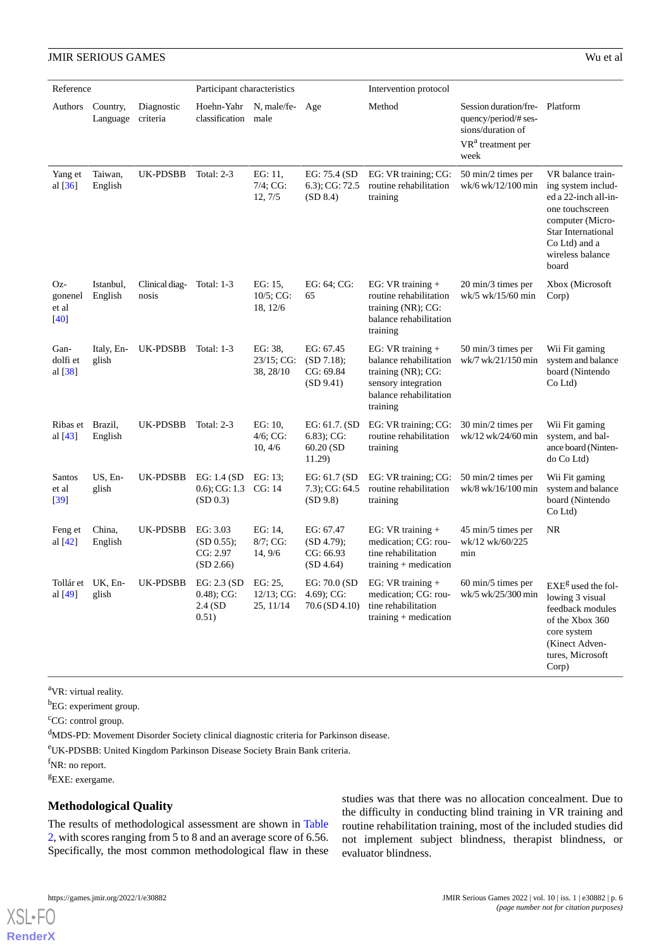| Reference                            |                            |                         | Participant characteristics                     |                                       |                                                        | Intervention protocol                                                                                                            |                                                                                    |                                                                                                                                                                            |  |
|--------------------------------------|----------------------------|-------------------------|-------------------------------------------------|---------------------------------------|--------------------------------------------------------|----------------------------------------------------------------------------------------------------------------------------------|------------------------------------------------------------------------------------|----------------------------------------------------------------------------------------------------------------------------------------------------------------------------|--|
| Authors                              | Country,                   | Diagnostic              | Hoehn-Yahr                                      | N, male/fe-Age                        |                                                        | Method                                                                                                                           | Session duration/fre-                                                              | Platform                                                                                                                                                                   |  |
|                                      | Language                   | criteria                | classification                                  | male                                  |                                                        |                                                                                                                                  | quency/period/# ses-<br>sions/duration of<br>VR <sup>a</sup> treatment per<br>week |                                                                                                                                                                            |  |
| Yang et<br>al $[36]$                 | Taiwan,<br>English         | UK-PDSBB                | <b>Total: 2-3</b>                               | EG: 11.<br>$7/4$ ; CG:<br>12, 7/5     | EG: 75.4 (SD<br>$(6.3)$ ; CG: 72.5<br>(SD 8.4)         | EG: VR training; CG:<br>routine rehabilitation<br>training                                                                       | 50 min/2 times per<br>wk/6 wk/12/100 min                                           | VR balance train-<br>ing system includ-<br>ed a 22-inch all-in-<br>one touchscreen<br>computer (Micro-<br>Star International<br>Co Ltd) and a<br>wireless balance<br>board |  |
| Oz-<br>gonenel<br>et al<br>$[40]$    | Istanbul,<br>English       | Clinical diag-<br>nosis | Total: 1-3                                      | EG: 15,<br>$10/5$ ; CG:<br>18, 12/6   | EG: 64; CG:<br>65                                      | EG: VR training $+$<br>routine rehabilitation<br>training (NR); CG:<br>balance rehabilitation<br>training                        | 20 min/3 times per<br>wk/5 wk/15/60 min                                            | Xbox (Microsoft<br>Corp)                                                                                                                                                   |  |
| Gan-<br>dolfi et<br>al [38]          | Italy, En-<br>glish        | UK-PDSBB                | <b>Total: 1-3</b>                               | EG: 38,<br>$23/15$ ; CG:<br>38, 28/10 | EG: 67.45<br>(SD 7.18);<br>CG: 69.84<br>(SD 9.41)      | EG: VR training $+$<br>balance rehabilitation<br>training (NR); CG:<br>sensory integration<br>balance rehabilitation<br>training | 50 min/3 times per<br>wk/7 wk/21/150 min                                           | Wii Fit gaming<br>system and balance<br>board (Nintendo<br>Co Ltd)                                                                                                         |  |
| Ribas et<br>al [43]                  | Brazil,<br>English         | UK-PDSBB                | Total: $2-3$                                    | EG: 10.<br>$4/6$ ; CG:<br>10, 4/6     | EG: $61.7.$ (SD<br>$6.83$ ; CG:<br>60.20 (SD<br>11.29) | EG: VR training; CG:<br>routine rehabilitation<br>training                                                                       | 30 min/2 times per<br>wk/12 wk/24/60 min                                           | Wii Fit gaming<br>system, and bal-<br>ance board (Ninten-<br>do Co Ltd)                                                                                                    |  |
| Santos<br>et al<br>$\left[39\right]$ | US, En-<br>glish           | UK-PDSBB                | EG: $1.4$ (SD<br>$(0.6)$ ; CG: 1.3<br>(SD 0.3)  | EG: 13;<br>CG: 14                     | EG: $61.7(SD)$<br>7.3); CG: 64.5<br>(SD 9.8)           | EG: VR training; CG:<br>routine rehabilitation<br>training                                                                       | 50 min/2 times per<br>wk/8 wk/16/100 min                                           | Wii Fit gaming<br>system and balance<br>board (Nintendo<br>$Co$ Ltd                                                                                                        |  |
| Feng et<br>al [42]                   | China,<br>English          | UK-PDSBB                | EG: 3.03<br>(SD 0.55);<br>CG: 2.97<br>(SD 2.66) | EG: 14,<br>$8/7$ ; CG:<br>14, 9/6     | EG: 67.47<br>(SD 4.79);<br>CG: 66.93<br>(SD 4.64)      | EG: $VR$ training +<br>medication; CG: rou-<br>tine rehabilitation<br>training $+$ medication                                    | 45 min/5 times per<br>wk/12 wk/60/225<br>min                                       | NR                                                                                                                                                                         |  |
| al [49]                              | Tollár et UK, En-<br>glish | UK-PDSBB EG: 2.3 (SD    | $0.48$ ; CG:<br>$2.4$ (SD<br>0.51)              | EG: 25,<br>$12/13$ ; CG:<br>25, 11/14 | EG: 70.0 (SD<br>$4.69$ ; CG:<br>$70.6$ (SD 4.10)       | EG: VR training +<br>medication; CG: rou-<br>tine rehabilitation<br>training $+$ medication                                      | 60 min/5 times per<br>wk/5 wk/25/300 min                                           | $EXEg$ used the fol-<br>lowing 3 visual<br>feedback modules<br>of the Xbox 360<br>core system<br>(Kinect Adven-<br>tures, Microsoft<br>Corp)                               |  |

<sup>a</sup>VR: virtual reality.

<sup>b</sup>EG: experiment group.

<sup>c</sup>CG: control group.

<sup>d</sup>MDS-PD: Movement Disorder Society clinical diagnostic criteria for Parkinson disease.

<sup>e</sup>UK-PDSBB: United Kingdom Parkinson Disease Society Brain Bank criteria.

f<sub>NR</sub>: no report.

<sup>g</sup>EXE: exergame.

[XSL](http://www.w3.org/Style/XSL)•FO **[RenderX](http://www.renderx.com/)**

# **Methodological Quality**

The results of methodological assessment are shown in [Table](#page-6-0) [2,](#page-6-0) with scores ranging from 5 to 8 and an average score of 6.56. Specifically, the most common methodological flaw in these

studies was that there was no allocation concealment. Due to the difficulty in conducting blind training in VR training and routine rehabilitation training, most of the included studies did not implement subject blindness, therapist blindness, or evaluator blindness.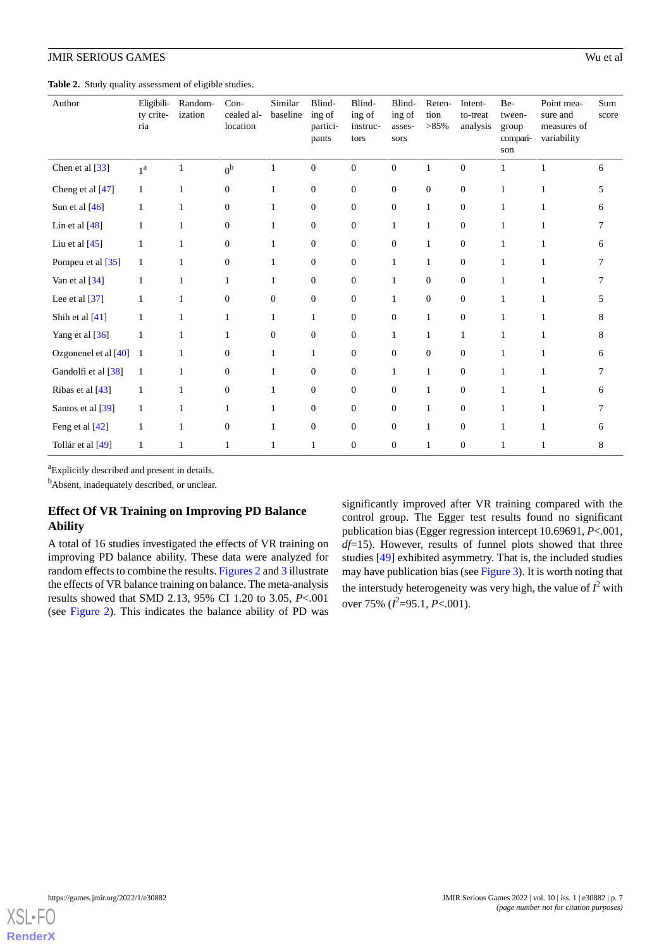# **JMIR SERIOUS GAMES**

<span id="page-6-0"></span>Table 2. Study quality assessment of eligible studies.

| Author                 | Eligibili-<br>ty crite-<br>ria | Random-<br>ization | Con-<br>cealed al-<br>location | Similar<br>baseline | Blind-<br>ing of<br>partici-<br>pants | Blind-<br>ing of<br>instruc-<br>tors | Blind-<br>ing of<br>asses-<br>sors | Reten-<br>tion<br>$>85\%$ | Intent-<br>to-treat<br>analysis | Be-<br>tween-<br>group<br>compari-<br>son | Point mea-<br>sure and<br>measures of<br>variability | Sum<br>score |
|------------------------|--------------------------------|--------------------|--------------------------------|---------------------|---------------------------------------|--------------------------------------|------------------------------------|---------------------------|---------------------------------|-------------------------------------------|------------------------------------------------------|--------------|
| Chen et al [33]        | 1 <sup>a</sup>                 |                    | 0 <sup>b</sup>                 |                     | $\boldsymbol{0}$                      | $\boldsymbol{0}$                     | $\mathbf{0}$                       | 1                         | $\boldsymbol{0}$                | 1                                         |                                                      | 6            |
| Cheng et al [47]       | $\mathbf{1}$                   | $\mathbf{1}$       | $\mathbf{0}$                   | 1                   | $\boldsymbol{0}$                      | $\mathbf{0}$                         | $\mathbf{0}$                       | $\boldsymbol{0}$          | $\mathbf{0}$                    | 1                                         |                                                      | 5            |
| Sun et al [46]         | 1                              | 1                  | $\mathbf{0}$                   | 1                   | $\boldsymbol{0}$                      | $\overline{0}$                       | $\mathbf{0}$                       | $\mathbf{1}$              | $\mathbf{0}$                    | 1                                         |                                                      | 6            |
| Lin et al $[48]$       |                                | 1                  | $\mathbf{0}$                   | 1                   | $\boldsymbol{0}$                      | $\overline{0}$                       | $\mathbf{1}$                       | $\mathbf{1}$              | $\mathbf{0}$                    | 1                                         |                                                      | 7            |
| Liu et al $[45]$       | 1                              | 1                  | $\overline{0}$                 | 1                   | $\mathbf{0}$                          | $\Omega$                             | $\Omega$                           | $\mathbf{1}$              | $\overline{0}$                  | 1                                         |                                                      | 6            |
| Pompeu et al [35]      | 1                              | 1                  | $\overline{0}$                 | 1                   | $\mathbf{0}$                          | $\Omega$                             | $\mathbf{1}$                       | $\mathbf{1}$              | $\overline{0}$                  | 1                                         |                                                      | 7            |
| Van et al [34]         | 1                              | 1                  | $\mathbf{1}$                   | $\mathbf{1}$        | $\boldsymbol{0}$                      | $\mathbf{0}$                         | 1                                  | $\mathbf{0}$              | $\mathbf{0}$                    | 1                                         | 1                                                    | 7            |
| Lee et al $[37]$       | 1                              | 1                  | $\overline{0}$                 | $\overline{0}$      | $\boldsymbol{0}$                      | $\mathbf{0}$                         | $\mathbf{1}$                       | $\overline{0}$            | $\theta$                        | 1                                         | 1                                                    | 5            |
| Shih et al [41]        | 1                              | 1                  | 1                              | $\mathbf{1}$        | $\mathbf{1}$                          | $\Omega$                             | $\overline{0}$                     | $\mathbf{1}$              | $\theta$                        | 1                                         |                                                      | 8            |
| Yang et al [36]        | 1                              | 1                  | 1                              | $\overline{0}$      | $\boldsymbol{0}$                      | $\mathbf{0}$                         | $\mathbf{1}$                       | $\mathbf{1}$              | $\mathbf{1}$                    | 1                                         |                                                      | 8            |
| Ozgonenel et al $[40]$ | 1                              | 1                  | $\theta$                       | 1                   | $\mathbf{1}$                          | $\mathbf{0}$                         | $\overline{0}$                     | $\overline{0}$            | $\theta$                        | 1                                         |                                                      | 6            |
| Gandolfi et al [38]    | $\mathbf{1}$                   |                    | $\boldsymbol{0}$               | 1                   | $\boldsymbol{0}$                      | $\overline{0}$                       | $\mathbf{1}$                       | $\mathbf{1}$              | $\mathbf{0}$                    | 1                                         |                                                      |              |
| Ribas et al [43]       | 1                              |                    | $\boldsymbol{0}$               | 1                   | $\boldsymbol{0}$                      | $\boldsymbol{0}$                     | $\mathbf{0}$                       | $\mathbf{1}$              | $\mathbf{0}$                    | $\mathbf{1}$                              |                                                      | 6            |
| Santos et al [39]      | 1                              | 1                  | 1                              | 1                   | $\boldsymbol{0}$                      | $\mathbf{0}$                         | $\mathbf{0}$                       | $\mathbf{1}$              | $\boldsymbol{0}$                | 1                                         |                                                      |              |
| Feng et al [42]        |                                |                    | $\boldsymbol{0}$               | 1                   | $\boldsymbol{0}$                      | $\mathbf{0}$                         | $\mathbf{0}$                       | 1                         | $\mathbf{0}$                    | 1                                         |                                                      | 6            |
| Tollár et al [49]      | 1                              |                    |                                |                     | $\mathbf{1}$                          | $\mathbf{0}$                         | $\overline{0}$                     | 1                         | $\mathbf{0}$                    |                                           |                                                      | 8            |

<sup>a</sup>Explicitly described and present in details.

<sup>b</sup>Absent, inadequately described, or unclear.

# **Effect Of VR Training on Improving PD Balance Ability**

A total of 16 studies investigated the effects of VR training on improving PD balance ability. These data were analyzed for random effects to combine the results. [Figures 2](#page-7-0) and [3](#page-7-1) illustrate the effects of VR balance training on balance. The meta-analysis results showed that SMD 2.13, 95% CI 1.20 to 3.05, *P*<.001 (see [Figure 2](#page-7-0)). This indicates the balance ability of PD was significantly improved after VR training compared with the control group. The Egger test results found no significant publication bias (Egger regression intercept 10.69691, *P*<.001, *df*=15). However, results of funnel plots showed that three studies [\[49](#page-13-5)] exhibited asymmetry. That is, the included studies may have publication bias (see [Figure 3](#page-7-1)). It is worth noting that the interstudy heterogeneity was very high, the value of  $I^2$  with over 75% ( $l^2$ =95.1, *P*<.001).

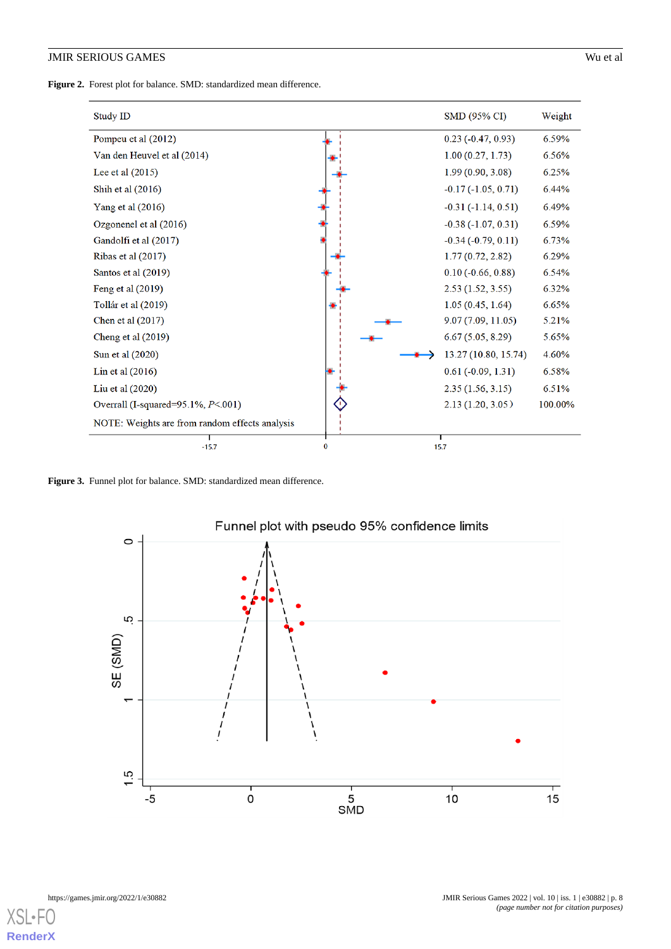<span id="page-7-0"></span>**Figure 2.** Forest plot for balance. SMD: standardized mean difference.

| Study ID                                       |   | SMD (95% CI)             | Weight  |
|------------------------------------------------|---|--------------------------|---------|
| Pompeu et al (2012)                            |   | $0.23$ ( $-0.47, 0.93$ ) | 6.59%   |
| Van den Heuvel et al (2014)                    |   | 1.00(0.27, 1.73)         | 6.56%   |
| Lee et al $(2015)$                             |   | 1.99(0.90, 3.08)         | 6.25%   |
| Shih et al $(2016)$                            |   | $-0.17(-1.05, 0.71)$     | 6.44%   |
| Yang et al (2016)                              |   | $-0.31(-1.14, 0.51)$     | 6.49%   |
| Ozgonenel et al (2016)                         |   | $-0.38(-1.07, 0.31)$     | 6.59%   |
| Gandolfi et al (2017)                          |   | $-0.34$ $(-0.79, 0.11)$  | 6.73%   |
| Ribas et al $(2017)$                           |   | 1.77(0.72, 2.82)         | 6.29%   |
| Santos et al (2019)                            |   | $0.10 (-0.66, 0.88)$     | 6.54%   |
| Feng et al $(2019)$                            |   | 2.53(1.52, 3.55)         | 6.32%   |
| Tollár et al (2019)                            |   | 1.05(0.45, 1.64)         | 6.65%   |
| Chen et al $(2017)$                            |   | 9.07(7.09, 11.05)        | 5.21%   |
| Cheng et al $(2019)$                           |   | 6.67(5.05, 8.29)         | 5.65%   |
| Sun et al (2020)                               |   | 13.27 (10.80, 15.74)     | 4.60%   |
| Lin et al $(2016)$                             |   | $0.61 (-0.09, 1.31)$     | 6.58%   |
| Liu et al $(2020)$                             |   | 2.35(1.56, 3.15)         | 6.51%   |
| Overrall (I-squared= $95.1\%$ , $P<001$ )      |   | 2.13(1.20, 3.05)         | 100.00% |
| NOTE: Weights are from random effects analysis |   |                          |         |
| $-15.7$                                        | 0 | 15.7                     |         |

<span id="page-7-1"></span>Figure 3. Funnel plot for balance. SMD: standardized mean difference.



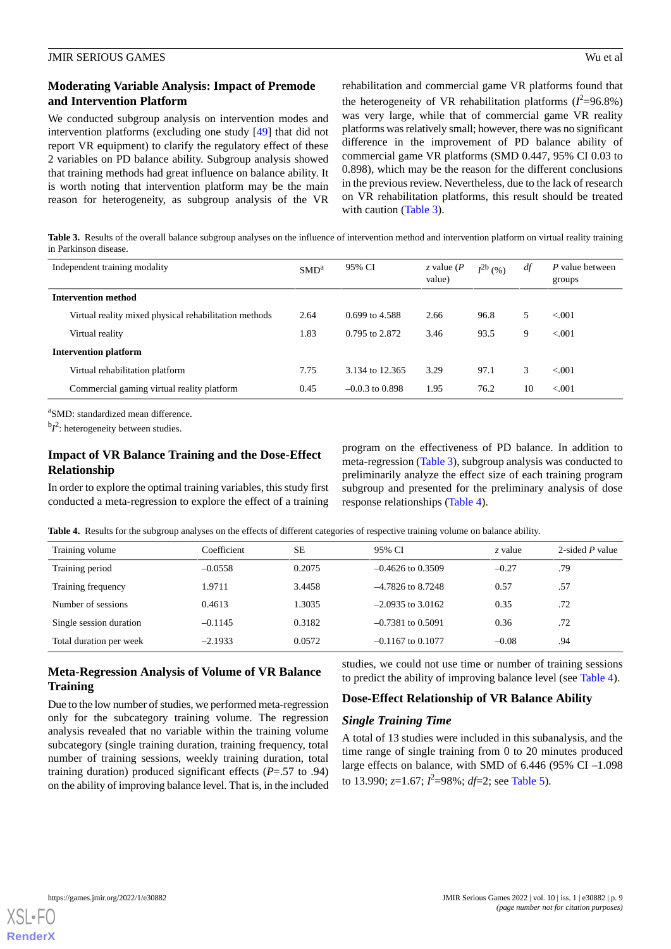We conducted subgroup analysis on intervention modes and intervention platforms (excluding one study [[49\]](#page-13-5) that did not report VR equipment) to clarify the regulatory effect of these 2 variables on PD balance ability. Subgroup analysis showed that training methods had great influence on balance ability. It is worth noting that intervention platform may be the main reason for heterogeneity, as subgroup analysis of the VR rehabilitation and commercial game VR platforms found that the heterogeneity of VR rehabilitation platforms  $(I^2=96.8\%)$ was very large, while that of commercial game VR reality platforms was relatively small; however, there was no significant difference in the improvement of PD balance ability of commercial game VR platforms (SMD 0.447, 95% CI 0.03 to 0.898), which may be the reason for the different conclusions in the previous review. Nevertheless, due to the lack of research on VR rehabilitation platforms, this result should be treated with caution [\(Table 3\)](#page-8-0).

<span id="page-8-0"></span>**Table 3.** Results of the overall balance subgroup analyses on the influence of intervention method and intervention platform on virtual reality training in Parkinson disease.

|                              | Independent training modality                         | SMD <sup>a</sup> | 95% CI            | z value $(P)$<br>value) | $I^{2b}$ (%) | df | P value between<br>groups |
|------------------------------|-------------------------------------------------------|------------------|-------------------|-------------------------|--------------|----|---------------------------|
| <b>Intervention method</b>   |                                                       |                  |                   |                         |              |    |                           |
|                              | Virtual reality mixed physical rehabilitation methods | 2.64             | 0.699 to 4.588    | 2.66                    | 96.8         | 5. | < 0.01                    |
|                              | Virtual reality                                       | 1.83             | 0.795 to 2.872    | 3.46                    | 93.5         | 9  | < 0.001                   |
| <b>Intervention platform</b> |                                                       |                  |                   |                         |              |    |                           |
|                              | Virtual rehabilitation platform                       | 7.75             | 3.134 to 12.365   | 3.29                    | 97.1         | 3  | < 0.01                    |
|                              | Commercial gaming virtual reality platform            | 0.45             | $-0.0.3$ to 0.898 | 1.95                    | 76.2         | 10 | < 0.01                    |

<sup>a</sup>SMD: standardized mean difference.

 ${}^{b}I^2$ : heterogeneity between studies.

# **Impact of VR Balance Training and the Dose-Effect Relationship**

<span id="page-8-1"></span>In order to explore the optimal training variables, this study first conducted a meta-regression to explore the effect of a training

program on the effectiveness of PD balance. In addition to meta-regression ([Table 3](#page-8-0)), subgroup analysis was conducted to preliminarily analyze the effect size of each training program subgroup and presented for the preliminary analysis of dose response relationships [\(Table 4\)](#page-8-1).

**Table 4.** Results for the subgroup analyses on the effects of different categories of respective training volume on balance ability.

| Training volume         | Coefficient | <b>SE</b> | 95% CI              | z value | 2-sided $P$ value |
|-------------------------|-------------|-----------|---------------------|---------|-------------------|
| Training period         | $-0.0558$   | 0.2075    | $-0.4626$ to 0.3509 | $-0.27$ | .79               |
| Training frequency      | 1.9711      | 3.4458    | $-4.7826$ to 8.7248 | 0.57    | .57               |
| Number of sessions      | 0.4613      | 1.3035    | $-2.0935$ to 3.0162 | 0.35    | .72               |
| Single session duration | $-0.1145$   | 0.3182    | $-0.7381$ to 0.5091 | 0.36    | .72               |
| Total duration per week | $-2.1933$   | 0.0572    | $-0.1167$ to 0.1077 | $-0.08$ | .94               |

# **Meta-Regression Analysis of Volume of VR Balance Training**

Due to the low number of studies, we performed meta-regression only for the subcategory training volume. The regression analysis revealed that no variable within the training volume subcategory (single training duration, training frequency, total number of training sessions, weekly training duration, total training duration) produced significant effects (*P*=.57 to .94) on the ability of improving balance level. That is, in the included

studies, we could not use time or number of training sessions to predict the ability of improving balance level (see [Table 4](#page-8-1)).

### **Dose-Effect Relationship of VR Balance Ability**

### *Single Training Time*

A total of 13 studies were included in this subanalysis, and the time range of single training from 0 to 20 minutes produced large effects on balance, with SMD of 6.446 (95% CI –1.098 to 13.990; *z*=1.67; *I*<sup>2</sup>=98%; *df*=2; see [Table 5\)](#page-9-0).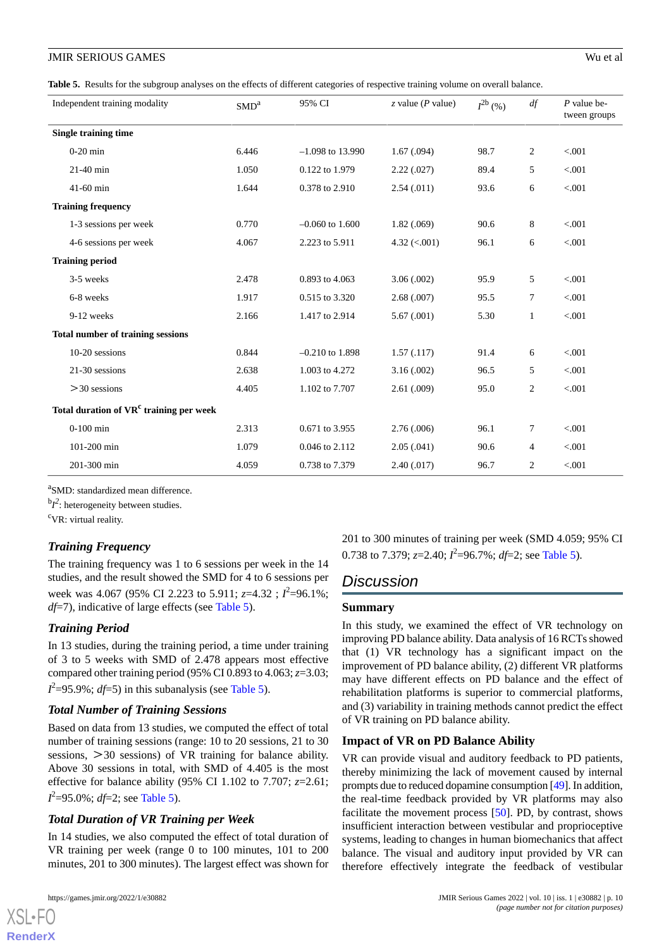<span id="page-9-0"></span>**Table 5.** Results for the subgroup analyses on the effects of different categories of respective training volume on overall balance.

| Independent training modality                       | SMD <sup>a</sup> | 95% CI             | $z$ value ( <i>P</i> value) | $I^{2b}$ (%) | df              | $P$ value be-<br>tween groups |
|-----------------------------------------------------|------------------|--------------------|-----------------------------|--------------|-----------------|-------------------------------|
| <b>Single training time</b>                         |                  |                    |                             |              |                 |                               |
| $0-20$ min                                          | 6.446            | $-1.098$ to 13.990 | 1.67(0.094)                 | 98.7         | 2               | < .001                        |
| $21-40$ min                                         | 1.050            | 0.122 to 1.979     | 2.22(.027)                  | 89.4         | 5               | < .001                        |
| $41-60$ min                                         | 1.644            | 0.378 to 2.910     | 2.54(.011)                  | 93.6         | 6               | < .001                        |
| <b>Training frequency</b>                           |                  |                    |                             |              |                 |                               |
| 1-3 sessions per week                               | 0.770            | $-0.060$ to 1.600  | 1.82(.069)                  | 90.6         | 8               | < 0.001                       |
| 4-6 sessions per week                               | 4.067            | 2.223 to 5.911     | $4.32 \; (<.001)$           | 96.1         | 6               | < .001                        |
| <b>Training period</b>                              |                  |                    |                             |              |                 |                               |
| 3-5 weeks                                           | 2.478            | 0.893 to 4.063     | 3.06(.002)                  | 95.9         | 5               | < .001                        |
| 6-8 weeks                                           | 1.917            | 0.515 to 3.320     | 2.68(.007)                  | 95.5         | $\overline{7}$  | < .001                        |
| 9-12 weeks                                          | 2.166            | 1.417 to 2.914     | 5.67(0.001)                 | 5.30         | $\mathbf{1}$    | < .001                        |
| <b>Total number of training sessions</b>            |                  |                    |                             |              |                 |                               |
| $10-20$ sessions                                    | 0.844            | $-0.210$ to 1.898  | 1.57(0.117)                 | 91.4         | 6               | < 0.001                       |
| 21-30 sessions                                      | 2.638            | 1.003 to 4.272     | 3.16(.002)                  | 96.5         | 5               | < .001                        |
| $>30$ sessions                                      | 4.405            | 1.102 to 7.707     | 2.61(0.009)                 | 95.0         | 2               | < .001                        |
| Total duration of VR <sup>c</sup> training per week |                  |                    |                             |              |                 |                               |
| $0-100$ min                                         | 2.313            | 0.671 to 3.955     | 2.76(.006)                  | 96.1         | $7\phantom{.0}$ | < .001                        |
| 101-200 min                                         | 1.079            | 0.046 to 2.112     | 2.05(.041)                  | 90.6         | 4               | < .001                        |
| 201-300 min                                         | 4.059            | 0.738 to 7.379     | 2.40(.017)                  | 96.7         | 2               | < .001                        |

<sup>a</sup>SMD: standardized mean difference.

 ${}^{b}I^2$ : heterogeneity between studies.

<sup>c</sup>VR: virtual reality.

# *Training Frequency*

The training frequency was 1 to 6 sessions per week in the 14 studies, and the result showed the SMD for 4 to 6 sessions per week was 4.067 (95% CI 2.223 to 5.911;  $z=4.32$ ;  $I^2=96.1\%$ ; *df*=7), indicative of large effects (see [Table 5\)](#page-9-0).

# *Training Period*

In 13 studies, during the training period, a time under training of 3 to 5 weeks with SMD of 2.478 appears most effective compared other training period (95% CI 0.893 to 4.063; *z*=3.03;  $I^2$ =95.9%;  $df$ =5) in this subanalysis (see [Table 5](#page-9-0)).

# *Total Number of Training Sessions*

Based on data from 13 studies, we computed the effect of total number of training sessions (range: 10 to 20 sessions, 21 to 30 sessions, >30 sessions) of VR training for balance ability. Above 30 sessions in total, with SMD of 4.405 is the most effective for balance ability (95% CI 1.102 to 7.707; *z*=2.61; *I* 2 =95.0%; *df*=2; see [Table 5](#page-9-0)).

# *Total Duration of VR Training per Week*

In 14 studies, we also computed the effect of total duration of VR training per week (range 0 to 100 minutes, 101 to 200 minutes, 201 to 300 minutes). The largest effect was shown for

201 to 300 minutes of training per week (SMD 4.059; 95% CI 0.738 to 7.379; *z*=2.40;  $l^2$ =96.7%; *df*=2; see [Table 5](#page-9-0)).

# *Discussion*

### **Summary**

In this study, we examined the effect of VR technology on improving PD balance ability. Data analysis of 16 RCTs showed that (1) VR technology has a significant impact on the improvement of PD balance ability, (2) different VR platforms may have different effects on PD balance and the effect of rehabilitation platforms is superior to commercial platforms, and (3) variability in training methods cannot predict the effect of VR training on PD balance ability.

# **Impact of VR on PD Balance Ability**

VR can provide visual and auditory feedback to PD patients, thereby minimizing the lack of movement caused by internal prompts due to reduced dopamine consumption [\[49](#page-13-5)]. In addition, the real-time feedback provided by VR platforms may also facilitate the movement process [\[50](#page-13-6)]. PD, by contrast, shows insufficient interaction between vestibular and proprioceptive systems, leading to changes in human biomechanics that affect balance. The visual and auditory input provided by VR can therefore effectively integrate the feedback of vestibular

```
XSL•FO
RenderX
```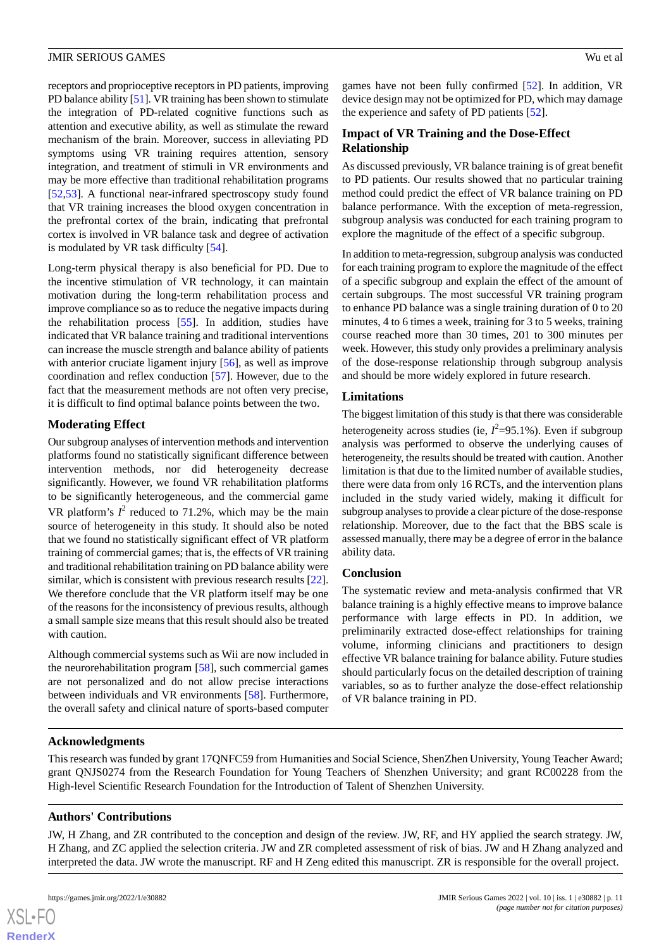receptors and proprioceptive receptors in PD patients, improving PD balance ability [[51](#page-13-7)]. VR training has been shown to stimulate the integration of PD-related cognitive functions such as attention and executive ability, as well as stimulate the reward mechanism of the brain. Moreover, success in alleviating PD symptoms using VR training requires attention, sensory integration, and treatment of stimuli in VR environments and may be more effective than traditional rehabilitation programs [[52](#page-13-8)[,53](#page-13-9)]. A functional near-infrared spectroscopy study found that VR training increases the blood oxygen concentration in the prefrontal cortex of the brain, indicating that prefrontal cortex is involved in VR balance task and degree of activation is modulated by VR task difficulty [\[54](#page-13-10)].

Long-term physical therapy is also beneficial for PD. Due to the incentive stimulation of VR technology, it can maintain motivation during the long-term rehabilitation process and improve compliance so as to reduce the negative impacts during the rehabilitation process [\[55](#page-13-11)]. In addition, studies have indicated that VR balance training and traditional interventions can increase the muscle strength and balance ability of patients with anterior cruciate ligament injury [\[56](#page-13-12)], as well as improve coordination and reflex conduction [[57\]](#page-13-13). However, due to the fact that the measurement methods are not often very precise, it is difficult to find optimal balance points between the two.

### **Moderating Effect**

Our subgroup analyses of intervention methods and intervention platforms found no statistically significant difference between intervention methods, nor did heterogeneity decrease significantly. However, we found VR rehabilitation platforms to be significantly heterogeneous, and the commercial game VR platform's  $I^2$  reduced to 71.2%, which may be the main source of heterogeneity in this study. It should also be noted that we found no statistically significant effect of VR platform training of commercial games; that is, the effects of VR training and traditional rehabilitation training on PD balance ability were similar, which is consistent with previous research results [[22\]](#page-12-0). We therefore conclude that the VR platform itself may be one of the reasons for the inconsistency of previous results, although a small sample size means that this result should also be treated with caution.

Although commercial systems such as Wii are now included in the neurorehabilitation program [\[58](#page-13-14)], such commercial games are not personalized and do not allow precise interactions between individuals and VR environments [\[58](#page-13-14)]. Furthermore, the overall safety and clinical nature of sports-based computer games have not been fully confirmed [\[52](#page-13-8)]. In addition, VR device design may not be optimized for PD, which may damage the experience and safety of PD patients [\[52](#page-13-8)].

# **Impact of VR Training and the Dose-Effect Relationship**

As discussed previously, VR balance training is of great benefit to PD patients. Our results showed that no particular training method could predict the effect of VR balance training on PD balance performance. With the exception of meta-regression, subgroup analysis was conducted for each training program to explore the magnitude of the effect of a specific subgroup.

In addition to meta-regression, subgroup analysis was conducted for each training program to explore the magnitude of the effect of a specific subgroup and explain the effect of the amount of certain subgroups. The most successful VR training program to enhance PD balance was a single training duration of 0 to 20 minutes, 4 to 6 times a week, training for 3 to 5 weeks, training course reached more than 30 times, 201 to 300 minutes per week. However, this study only provides a preliminary analysis of the dose-response relationship through subgroup analysis and should be more widely explored in future research.

### **Limitations**

The biggest limitation of this study is that there was considerable heterogeneity across studies (ie,  $I^2 = 95.1\%$ ). Even if subgroup analysis was performed to observe the underlying causes of heterogeneity, the results should be treated with caution. Another limitation is that due to the limited number of available studies, there were data from only 16 RCTs, and the intervention plans included in the study varied widely, making it difficult for subgroup analyses to provide a clear picture of the dose-response relationship. Moreover, due to the fact that the BBS scale is assessed manually, there may be a degree of error in the balance ability data.

### **Conclusion**

The systematic review and meta-analysis confirmed that VR balance training is a highly effective means to improve balance performance with large effects in PD. In addition, we preliminarily extracted dose-effect relationships for training volume, informing clinicians and practitioners to design effective VR balance training for balance ability. Future studies should particularly focus on the detailed description of training variables, so as to further analyze the dose-effect relationship of VR balance training in PD.

#### **Acknowledgments**

This research was funded by grant 17QNFC59 from Humanities and Social Science, ShenZhen University, Young Teacher Award; grant QNJS0274 from the Research Foundation for Young Teachers of Shenzhen University; and grant RC00228 from the High-level Scientific Research Foundation for the Introduction of Talent of Shenzhen University.

### **Authors' Contributions**

JW, H Zhang, and ZR contributed to the conception and design of the review. JW, RF, and HY applied the search strategy. JW, H Zhang, and ZC applied the selection criteria. JW and ZR completed assessment of risk of bias. JW and H Zhang analyzed and interpreted the data. JW wrote the manuscript. RF and H Zeng edited this manuscript. ZR is responsible for the overall project.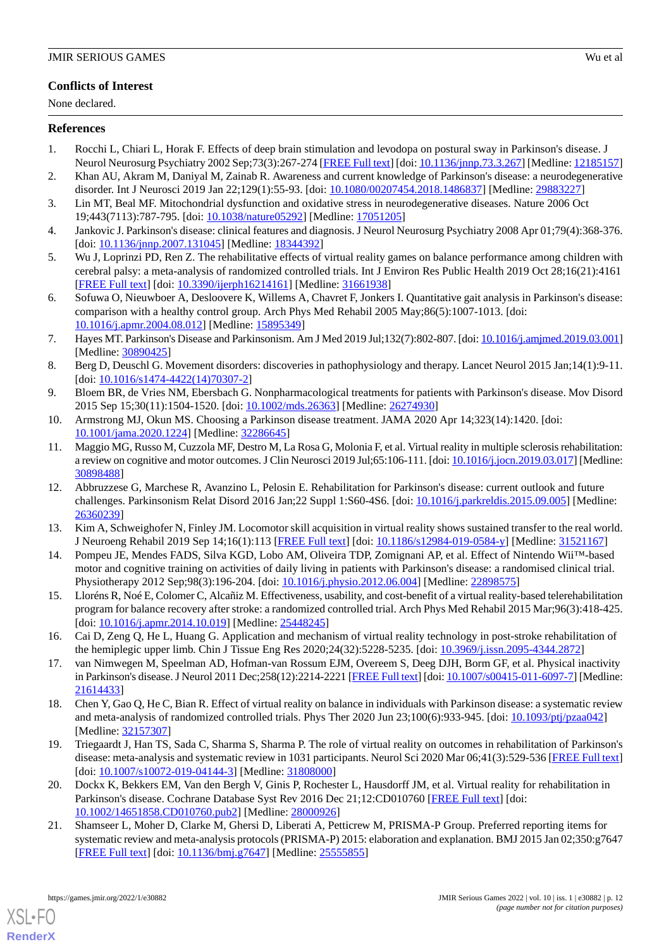# **Conflicts of Interest**

None declared.

# <span id="page-11-0"></span>**References**

- <span id="page-11-1"></span>1. Rocchi L, Chiari L, Horak F. Effects of deep brain stimulation and levodopa on postural sway in Parkinson's disease. J Neurol Neurosurg Psychiatry 2002 Sep;73(3):267-274 [[FREE Full text](https://jnnp.bmj.com/lookup/pmidlookup?view=long&pmid=12185157)] [doi: [10.1136/jnnp.73.3.267\]](http://dx.doi.org/10.1136/jnnp.73.3.267) [Medline: [12185157](http://www.ncbi.nlm.nih.gov/entrez/query.fcgi?cmd=Retrieve&db=PubMed&list_uids=12185157&dopt=Abstract)]
- <span id="page-11-2"></span>2. Khan AU, Akram M, Daniyal M, Zainab R. Awareness and current knowledge of Parkinson's disease: a neurodegenerative disorder. Int J Neurosci 2019 Jan 22;129(1):55-93. [doi: [10.1080/00207454.2018.1486837\]](http://dx.doi.org/10.1080/00207454.2018.1486837) [Medline: [29883227\]](http://www.ncbi.nlm.nih.gov/entrez/query.fcgi?cmd=Retrieve&db=PubMed&list_uids=29883227&dopt=Abstract)
- <span id="page-11-3"></span>3. Lin MT, Beal MF. Mitochondrial dysfunction and oxidative stress in neurodegenerative diseases. Nature 2006 Oct 19;443(7113):787-795. [doi: [10.1038/nature05292\]](http://dx.doi.org/10.1038/nature05292) [Medline: [17051205](http://www.ncbi.nlm.nih.gov/entrez/query.fcgi?cmd=Retrieve&db=PubMed&list_uids=17051205&dopt=Abstract)]
- 4. Jankovic J. Parkinson's disease: clinical features and diagnosis. J Neurol Neurosurg Psychiatry 2008 Apr 01;79(4):368-376. [doi: [10.1136/jnnp.2007.131045\]](http://dx.doi.org/10.1136/jnnp.2007.131045) [Medline: [18344392\]](http://www.ncbi.nlm.nih.gov/entrez/query.fcgi?cmd=Retrieve&db=PubMed&list_uids=18344392&dopt=Abstract)
- <span id="page-11-4"></span>5. Wu J, Loprinzi PD, Ren Z. The rehabilitative effects of virtual reality games on balance performance among children with cerebral palsy: a meta-analysis of randomized controlled trials. Int J Environ Res Public Health 2019 Oct 28;16(21):4161 [[FREE Full text](https://www.mdpi.com/resolver?pii=ijerph16214161)] [doi: [10.3390/ijerph16214161](http://dx.doi.org/10.3390/ijerph16214161)] [Medline: [31661938\]](http://www.ncbi.nlm.nih.gov/entrez/query.fcgi?cmd=Retrieve&db=PubMed&list_uids=31661938&dopt=Abstract)
- <span id="page-11-5"></span>6. Sofuwa O, Nieuwboer A, Desloovere K, Willems A, Chavret F, Jonkers I. Quantitative gait analysis in Parkinson's disease: comparison with a healthy control group. Arch Phys Med Rehabil 2005 May;86(5):1007-1013. [doi: [10.1016/j.apmr.2004.08.012\]](http://dx.doi.org/10.1016/j.apmr.2004.08.012) [Medline: [15895349](http://www.ncbi.nlm.nih.gov/entrez/query.fcgi?cmd=Retrieve&db=PubMed&list_uids=15895349&dopt=Abstract)]
- <span id="page-11-6"></span>7. Hayes MT. Parkinson's Disease and Parkinsonism. Am J Med 2019 Jul;132(7):802-807. [doi: [10.1016/j.amjmed.2019.03.001\]](http://dx.doi.org/10.1016/j.amjmed.2019.03.001) [Medline: [30890425](http://www.ncbi.nlm.nih.gov/entrez/query.fcgi?cmd=Retrieve&db=PubMed&list_uids=30890425&dopt=Abstract)]
- <span id="page-11-8"></span><span id="page-11-7"></span>8. Berg D, Deuschl G. Movement disorders: discoveries in pathophysiology and therapy. Lancet Neurol 2015 Jan;14(1):9-11. [doi: [10.1016/s1474-4422\(14\)70307-2](http://dx.doi.org/10.1016/s1474-4422(14)70307-2)]
- <span id="page-11-9"></span>9. Bloem BR, de Vries NM, Ebersbach G. Nonpharmacological treatments for patients with Parkinson's disease. Mov Disord 2015 Sep 15;30(11):1504-1520. [doi: [10.1002/mds.26363\]](http://dx.doi.org/10.1002/mds.26363) [Medline: [26274930\]](http://www.ncbi.nlm.nih.gov/entrez/query.fcgi?cmd=Retrieve&db=PubMed&list_uids=26274930&dopt=Abstract)
- 10. Armstrong MJ, Okun MS. Choosing a Parkinson disease treatment. JAMA 2020 Apr 14;323(14):1420. [doi: [10.1001/jama.2020.1224](http://dx.doi.org/10.1001/jama.2020.1224)] [Medline: [32286645](http://www.ncbi.nlm.nih.gov/entrez/query.fcgi?cmd=Retrieve&db=PubMed&list_uids=32286645&dopt=Abstract)]
- <span id="page-11-10"></span>11. Maggio MG, Russo M, Cuzzola MF, Destro M, La Rosa G, Molonia F, et al. Virtual reality in multiple sclerosis rehabilitation: a review on cognitive and motor outcomes. J Clin Neurosci 2019 Jul;65:106-111. [doi: [10.1016/j.jocn.2019.03.017\]](http://dx.doi.org/10.1016/j.jocn.2019.03.017) [Medline: [30898488](http://www.ncbi.nlm.nih.gov/entrez/query.fcgi?cmd=Retrieve&db=PubMed&list_uids=30898488&dopt=Abstract)]
- <span id="page-11-12"></span><span id="page-11-11"></span>12. Abbruzzese G, Marchese R, Avanzino L, Pelosin E. Rehabilitation for Parkinson's disease: current outlook and future challenges. Parkinsonism Relat Disord 2016 Jan;22 Suppl 1:S60-4S6. [doi: [10.1016/j.parkreldis.2015.09.005](http://dx.doi.org/10.1016/j.parkreldis.2015.09.005)] [Medline: [26360239](http://www.ncbi.nlm.nih.gov/entrez/query.fcgi?cmd=Retrieve&db=PubMed&list_uids=26360239&dopt=Abstract)]
- <span id="page-11-13"></span>13. Kim A, Schweighofer N, Finley JM. Locomotor skill acquisition in virtual reality shows sustained transfer to the real world. J Neuroeng Rehabil 2019 Sep 14;16(1):113 [\[FREE Full text\]](https://jneuroengrehab.biomedcentral.com/articles/10.1186/s12984-019-0584-y) [doi: [10.1186/s12984-019-0584-y](http://dx.doi.org/10.1186/s12984-019-0584-y)] [Medline: [31521167](http://www.ncbi.nlm.nih.gov/entrez/query.fcgi?cmd=Retrieve&db=PubMed&list_uids=31521167&dopt=Abstract)]
- <span id="page-11-14"></span>14. Pompeu JE, Mendes FADS, Silva KGD, Lobo AM, Oliveira TDP, Zomignani AP, et al. Effect of Nintendo Wii™-based motor and cognitive training on activities of daily living in patients with Parkinson's disease: a randomised clinical trial. Physiotherapy 2012 Sep;98(3):196-204. [doi: [10.1016/j.physio.2012.06.004](http://dx.doi.org/10.1016/j.physio.2012.06.004)] [Medline: [22898575\]](http://www.ncbi.nlm.nih.gov/entrez/query.fcgi?cmd=Retrieve&db=PubMed&list_uids=22898575&dopt=Abstract)
- <span id="page-11-15"></span>15. Lloréns R, Noé E, Colomer C, Alcañiz M. Effectiveness, usability, and cost-benefit of a virtual reality-based telerehabilitation program for balance recovery after stroke: a randomized controlled trial. Arch Phys Med Rehabil 2015 Mar;96(3):418-425. [doi: [10.1016/j.apmr.2014.10.019\]](http://dx.doi.org/10.1016/j.apmr.2014.10.019) [Medline: [25448245\]](http://www.ncbi.nlm.nih.gov/entrez/query.fcgi?cmd=Retrieve&db=PubMed&list_uids=25448245&dopt=Abstract)
- <span id="page-11-16"></span>16. Cai D, Zeng Q, He L, Huang G. Application and mechanism of virtual reality technology in post-stroke rehabilitation of the hemiplegic upper limb. Chin J Tissue Eng Res 2020;24(32):5228-5235. [doi: [10.3969/j.issn.2095-4344.2872](http://dx.doi.org/10.3969/j.issn.2095-4344.2872)]
- <span id="page-11-17"></span>17. van Nimwegen M, Speelman AD, Hofman-van Rossum EJM, Overeem S, Deeg DJH, Borm GF, et al. Physical inactivity in Parkinson's disease. J Neurol 2011 Dec;258(12):2214-2221 [\[FREE Full text\]](http://europepmc.org/abstract/MED/21614433) [doi: [10.1007/s00415-011-6097-7\]](http://dx.doi.org/10.1007/s00415-011-6097-7) [Medline: [21614433](http://www.ncbi.nlm.nih.gov/entrez/query.fcgi?cmd=Retrieve&db=PubMed&list_uids=21614433&dopt=Abstract)]
- <span id="page-11-18"></span>18. Chen Y, Gao Q, He C, Bian R. Effect of virtual reality on balance in individuals with Parkinson disease: a systematic review and meta-analysis of randomized controlled trials. Phys Ther 2020 Jun 23;100(6):933-945. [doi: [10.1093/ptj/pzaa042\]](http://dx.doi.org/10.1093/ptj/pzaa042) [Medline: [32157307](http://www.ncbi.nlm.nih.gov/entrez/query.fcgi?cmd=Retrieve&db=PubMed&list_uids=32157307&dopt=Abstract)]
- <span id="page-11-19"></span>19. Triegaardt J, Han TS, Sada C, Sharma S, Sharma P. The role of virtual reality on outcomes in rehabilitation of Parkinson's disease: meta-analysis and systematic review in 1031 participants. Neurol Sci 2020 Mar 06;41(3):529-536 [\[FREE Full text](http://europepmc.org/abstract/MED/31808000)] [doi: [10.1007/s10072-019-04144-3](http://dx.doi.org/10.1007/s10072-019-04144-3)] [Medline: [31808000\]](http://www.ncbi.nlm.nih.gov/entrez/query.fcgi?cmd=Retrieve&db=PubMed&list_uids=31808000&dopt=Abstract)
- 20. Dockx K, Bekkers EM, Van den Bergh V, Ginis P, Rochester L, Hausdorff JM, et al. Virtual reality for rehabilitation in Parkinson's disease. Cochrane Database Syst Rev 2016 Dec 21;12:CD010760 [[FREE Full text](http://europepmc.org/abstract/MED/28000926)] [doi: [10.1002/14651858.CD010760.pub2\]](http://dx.doi.org/10.1002/14651858.CD010760.pub2) [Medline: [28000926](http://www.ncbi.nlm.nih.gov/entrez/query.fcgi?cmd=Retrieve&db=PubMed&list_uids=28000926&dopt=Abstract)]
- 21. Shamseer L, Moher D, Clarke M, Ghersi D, Liberati A, Petticrew M, PRISMA-P Group. Preferred reporting items for systematic review and meta-analysis protocols (PRISMA-P) 2015: elaboration and explanation. BMJ 2015 Jan 02;350:g7647 [[FREE Full text](http://www.bmj.com/lookup/pmidlookup?view=long&pmid=25555855)] [doi: [10.1136/bmj.g7647\]](http://dx.doi.org/10.1136/bmj.g7647) [Medline: [25555855\]](http://www.ncbi.nlm.nih.gov/entrez/query.fcgi?cmd=Retrieve&db=PubMed&list_uids=25555855&dopt=Abstract)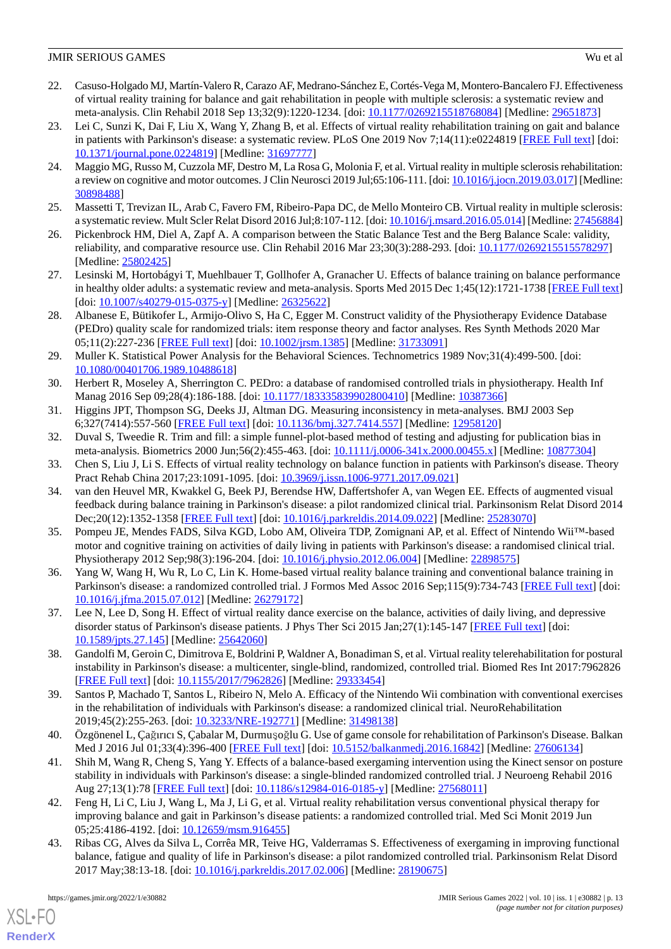- <span id="page-12-0"></span>22. Casuso-Holgado MJ, Martín-Valero R, Carazo AF, Medrano-Sánchez E, Cortés-Vega M, Montero-Bancalero FJ. Effectiveness of virtual reality training for balance and gait rehabilitation in people with multiple sclerosis: a systematic review and meta-analysis. Clin Rehabil 2018 Sep 13;32(9):1220-1234. [doi: [10.1177/0269215518768084](http://dx.doi.org/10.1177/0269215518768084)] [Medline: [29651873\]](http://www.ncbi.nlm.nih.gov/entrez/query.fcgi?cmd=Retrieve&db=PubMed&list_uids=29651873&dopt=Abstract)
- <span id="page-12-1"></span>23. Lei C, Sunzi K, Dai F, Liu X, Wang Y, Zhang B, et al. Effects of virtual reality rehabilitation training on gait and balance in patients with Parkinson's disease: a systematic review. PLoS One 2019 Nov 7;14(11):e0224819 [\[FREE Full text](https://dx.plos.org/10.1371/journal.pone.0224819)] [doi: [10.1371/journal.pone.0224819\]](http://dx.doi.org/10.1371/journal.pone.0224819) [Medline: [31697777](http://www.ncbi.nlm.nih.gov/entrez/query.fcgi?cmd=Retrieve&db=PubMed&list_uids=31697777&dopt=Abstract)]
- 24. Maggio MG, Russo M, Cuzzola MF, Destro M, La Rosa G, Molonia F, et al. Virtual reality in multiple sclerosis rehabilitation: a review on cognitive and motor outcomes. J Clin Neurosci 2019 Jul;65:106-111. [doi: [10.1016/j.jocn.2019.03.017\]](http://dx.doi.org/10.1016/j.jocn.2019.03.017) [Medline: [30898488](http://www.ncbi.nlm.nih.gov/entrez/query.fcgi?cmd=Retrieve&db=PubMed&list_uids=30898488&dopt=Abstract)]
- 25. Massetti T, Trevizan IL, Arab C, Favero FM, Ribeiro-Papa DC, de Mello Monteiro CB. Virtual reality in multiple sclerosis: a systematic review. Mult Scler Relat Disord 2016 Jul;8:107-112. [doi: [10.1016/j.msard.2016.05.014\]](http://dx.doi.org/10.1016/j.msard.2016.05.014) [Medline: [27456884](http://www.ncbi.nlm.nih.gov/entrez/query.fcgi?cmd=Retrieve&db=PubMed&list_uids=27456884&dopt=Abstract)]
- <span id="page-12-2"></span>26. Pickenbrock HM, Diel A, Zapf A. A comparison between the Static Balance Test and the Berg Balance Scale: validity, reliability, and comparative resource use. Clin Rehabil 2016 Mar 23;30(3):288-293. [doi: [10.1177/0269215515578297](http://dx.doi.org/10.1177/0269215515578297)] [Medline: [25802425](http://www.ncbi.nlm.nih.gov/entrez/query.fcgi?cmd=Retrieve&db=PubMed&list_uids=25802425&dopt=Abstract)]
- <span id="page-12-3"></span>27. Lesinski M, Hortobágyi T, Muehlbauer T, Gollhofer A, Granacher U. Effects of balance training on balance performance in healthy older adults: a systematic review and meta-analysis. Sports Med 2015 Dec 1;45(12):1721-1738 [[FREE Full text](http://europepmc.org/abstract/MED/26325622)] [doi: [10.1007/s40279-015-0375-y](http://dx.doi.org/10.1007/s40279-015-0375-y)] [Medline: [26325622\]](http://www.ncbi.nlm.nih.gov/entrez/query.fcgi?cmd=Retrieve&db=PubMed&list_uids=26325622&dopt=Abstract)
- <span id="page-12-4"></span>28. Albanese E, Bütikofer L, Armijo-Olivo S, Ha C, Egger M. Construct validity of the Physiotherapy Evidence Database (PEDro) quality scale for randomized trials: item response theory and factor analyses. Res Synth Methods 2020 Mar 05;11(2):227-236 [[FREE Full text](http://europepmc.org/abstract/MED/31733091)] [doi: [10.1002/jrsm.1385](http://dx.doi.org/10.1002/jrsm.1385)] [Medline: [31733091\]](http://www.ncbi.nlm.nih.gov/entrez/query.fcgi?cmd=Retrieve&db=PubMed&list_uids=31733091&dopt=Abstract)
- <span id="page-12-5"></span>29. Muller K. Statistical Power Analysis for the Behavioral Sciences. Technometrics 1989 Nov;31(4):499-500. [doi: [10.1080/00401706.1989.10488618\]](http://dx.doi.org/10.1080/00401706.1989.10488618)
- <span id="page-12-7"></span><span id="page-12-6"></span>30. Herbert R, Moseley A, Sherrington C. PEDro: a database of randomised controlled trials in physiotherapy. Health Inf Manag 2016 Sep 09;28(4):186-188. [doi: [10.1177/183335839902800410](http://dx.doi.org/10.1177/183335839902800410)] [Medline: [10387366\]](http://www.ncbi.nlm.nih.gov/entrez/query.fcgi?cmd=Retrieve&db=PubMed&list_uids=10387366&dopt=Abstract)
- <span id="page-12-8"></span>31. Higgins JPT, Thompson SG, Deeks JJ, Altman DG. Measuring inconsistency in meta-analyses. BMJ 2003 Sep 6;327(7414):557-560 [[FREE Full text](http://europepmc.org/abstract/MED/12958120)] [doi: [10.1136/bmj.327.7414.557\]](http://dx.doi.org/10.1136/bmj.327.7414.557) [Medline: [12958120\]](http://www.ncbi.nlm.nih.gov/entrez/query.fcgi?cmd=Retrieve&db=PubMed&list_uids=12958120&dopt=Abstract)
- <span id="page-12-9"></span>32. Duval S, Tweedie R. Trim and fill: a simple funnel-plot-based method of testing and adjusting for publication bias in meta-analysis. Biometrics 2000 Jun;56(2):455-463. [doi: [10.1111/j.0006-341x.2000.00455.x\]](http://dx.doi.org/10.1111/j.0006-341x.2000.00455.x) [Medline: [10877304](http://www.ncbi.nlm.nih.gov/entrez/query.fcgi?cmd=Retrieve&db=PubMed&list_uids=10877304&dopt=Abstract)]
- 33. Chen S, Liu J, Li S. Effects of virtual reality technology on balance function in patients with Parkinson's disease. Theory Pract Rehab China 2017;23:1091-1095. [doi: [10.3969/j.issn.1006-9771.2017.09.021\]](http://dx.doi.org/10.3969/j.issn.1006-9771.2017.09.021)
- <span id="page-12-10"></span>34. van den Heuvel MR, Kwakkel G, Beek PJ, Berendse HW, Daffertshofer A, van Wegen EE. Effects of augmented visual feedback during balance training in Parkinson's disease: a pilot randomized clinical trial. Parkinsonism Relat Disord 2014 Dec;20(12):1352-1358 [\[FREE Full text](https://linkinghub.elsevier.com/retrieve/pii/S1353-8020(14)00359-9)] [doi: [10.1016/j.parkreldis.2014.09.022\]](http://dx.doi.org/10.1016/j.parkreldis.2014.09.022) [Medline: [25283070](http://www.ncbi.nlm.nih.gov/entrez/query.fcgi?cmd=Retrieve&db=PubMed&list_uids=25283070&dopt=Abstract)]
- <span id="page-12-12"></span><span id="page-12-11"></span>35. Pompeu JE, Mendes FADS, Silva KGD, Lobo AM, Oliveira TDP, Zomignani AP, et al. Effect of Nintendo Wii™-based motor and cognitive training on activities of daily living in patients with Parkinson's disease: a randomised clinical trial. Physiotherapy 2012 Sep;98(3):196-204. [doi: [10.1016/j.physio.2012.06.004](http://dx.doi.org/10.1016/j.physio.2012.06.004)] [Medline: [22898575\]](http://www.ncbi.nlm.nih.gov/entrez/query.fcgi?cmd=Retrieve&db=PubMed&list_uids=22898575&dopt=Abstract)
- <span id="page-12-13"></span>36. Yang W, Wang H, Wu R, Lo C, Lin K. Home-based virtual reality balance training and conventional balance training in Parkinson's disease: a randomized controlled trial. J Formos Med Assoc 2016 Sep;115(9):734-743 [[FREE Full text\]](https://linkinghub.elsevier.com/retrieve/pii/S0929-6646(15)00249-1) [doi: [10.1016/j.jfma.2015.07.012\]](http://dx.doi.org/10.1016/j.jfma.2015.07.012) [Medline: [26279172\]](http://www.ncbi.nlm.nih.gov/entrez/query.fcgi?cmd=Retrieve&db=PubMed&list_uids=26279172&dopt=Abstract)
- <span id="page-12-14"></span>37. Lee N, Lee D, Song H. Effect of virtual reality dance exercise on the balance, activities of daily living, and depressive disorder status of Parkinson's disease patients. J Phys Ther Sci 2015 Jan; 27(1):145-147 [[FREE Full text](http://europepmc.org/abstract/MED/25642060)] [doi: [10.1589/jpts.27.145](http://dx.doi.org/10.1589/jpts.27.145)] [Medline: [25642060](http://www.ncbi.nlm.nih.gov/entrez/query.fcgi?cmd=Retrieve&db=PubMed&list_uids=25642060&dopt=Abstract)]
- <span id="page-12-15"></span>38. Gandolfi M, Geroin C, Dimitrova E, Boldrini P, Waldner A, Bonadiman S, et al. Virtual reality telerehabilitation for postural instability in Parkinson's disease: a multicenter, single-blind, randomized, controlled trial. Biomed Res Int 2017:7962826 [[FREE Full text](https://doi.org/10.1155/2017/7962826)] [doi: [10.1155/2017/7962826\]](http://dx.doi.org/10.1155/2017/7962826) [Medline: [29333454](http://www.ncbi.nlm.nih.gov/entrez/query.fcgi?cmd=Retrieve&db=PubMed&list_uids=29333454&dopt=Abstract)]
- <span id="page-12-16"></span>39. Santos P, Machado T, Santos L, Ribeiro N, Melo A. Efficacy of the Nintendo Wii combination with conventional exercises in the rehabilitation of individuals with Parkinson's disease: a randomized clinical trial. NeuroRehabilitation 2019;45(2):255-263. [doi: [10.3233/NRE-192771](http://dx.doi.org/10.3233/NRE-192771)] [Medline: [31498138\]](http://www.ncbi.nlm.nih.gov/entrez/query.fcgi?cmd=Retrieve&db=PubMed&list_uids=31498138&dopt=Abstract)
- <span id="page-12-17"></span>40. Özgönenel L, Çağırıcı S, Çabalar M, Durmuşoğlu G. Use of game console for rehabilitation of Parkinson's Disease. Balkan Med J 2016 Jul 01;33(4):396-400 [[FREE Full text](https://doi.org/10.5152/balkanmedj.2016.16842)] [doi: [10.5152/balkanmedj.2016.16842](http://dx.doi.org/10.5152/balkanmedj.2016.16842)] [Medline: [27606134](http://www.ncbi.nlm.nih.gov/entrez/query.fcgi?cmd=Retrieve&db=PubMed&list_uids=27606134&dopt=Abstract)]
- <span id="page-12-18"></span>41. Shih M, Wang R, Cheng S, Yang Y. Effects of a balance-based exergaming intervention using the Kinect sensor on posture stability in individuals with Parkinson's disease: a single-blinded randomized controlled trial. J Neuroeng Rehabil 2016 Aug 27;13(1):78 [\[FREE Full text\]](https://jneuroengrehab.biomedcentral.com/articles/10.1186/s12984-016-0185-y) [doi: [10.1186/s12984-016-0185-y](http://dx.doi.org/10.1186/s12984-016-0185-y)] [Medline: [27568011\]](http://www.ncbi.nlm.nih.gov/entrez/query.fcgi?cmd=Retrieve&db=PubMed&list_uids=27568011&dopt=Abstract)
- 42. Feng H, Li C, Liu J, Wang L, Ma J, Li G, et al. Virtual reality rehabilitation versus conventional physical therapy for improving balance and gait in Parkinson's disease patients: a randomized controlled trial. Med Sci Monit 2019 Jun 05;25:4186-4192. [doi: [10.12659/msm.916455](http://dx.doi.org/10.12659/msm.916455)]
- 43. Ribas CG, Alves da Silva L, Corrêa MR, Teive HG, Valderramas S. Effectiveness of exergaming in improving functional balance, fatigue and quality of life in Parkinson's disease: a pilot randomized controlled trial. Parkinsonism Relat Disord 2017 May;38:13-18. [doi: [10.1016/j.parkreldis.2017.02.006\]](http://dx.doi.org/10.1016/j.parkreldis.2017.02.006) [Medline: [28190675\]](http://www.ncbi.nlm.nih.gov/entrez/query.fcgi?cmd=Retrieve&db=PubMed&list_uids=28190675&dopt=Abstract)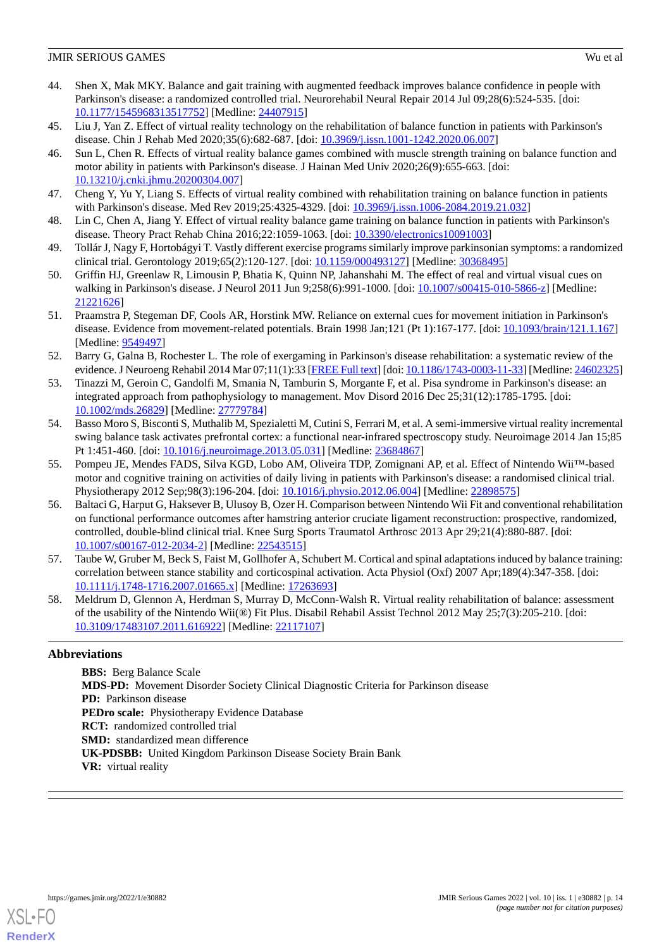- <span id="page-13-0"></span>44. Shen X, Mak MKY. Balance and gait training with augmented feedback improves balance confidence in people with Parkinson's disease: a randomized controlled trial. Neurorehabil Neural Repair 2014 Jul 09;28(6):524-535. [doi: [10.1177/1545968313517752\]](http://dx.doi.org/10.1177/1545968313517752) [Medline: [24407915\]](http://www.ncbi.nlm.nih.gov/entrez/query.fcgi?cmd=Retrieve&db=PubMed&list_uids=24407915&dopt=Abstract)
- <span id="page-13-2"></span><span id="page-13-1"></span>45. Liu J, Yan Z. Effect of virtual reality technology on the rehabilitation of balance function in patients with Parkinson's disease. Chin J Rehab Med 2020;35(6):682-687. [doi: [10.3969/j.issn.1001-1242.2020.06.007](http://dx.doi.org/10.3969/j.issn.1001-1242.2020.06.007)]
- 46. Sun L, Chen R. Effects of virtual reality balance games combined with muscle strength training on balance function and motor ability in patients with Parkinson's disease. J Hainan Med Univ 2020;26(9):655-663. [doi: [10.13210/j.cnki.jhmu.20200304.007](http://dx.doi.org/10.13210/j.cnki.jhmu.20200304.007)]
- <span id="page-13-4"></span><span id="page-13-3"></span>47. Cheng Y, Yu Y, Liang S. Effects of virtual reality combined with rehabilitation training on balance function in patients with Parkinson's disease. Med Rev 2019;25:4325-4329. [doi: [10.3969/j.issn.1006-2084.2019.21.032\]](http://dx.doi.org/10.3969/j.issn.1006-2084.2019.21.032)
- <span id="page-13-5"></span>48. Lin C, Chen A, Jiang Y. Effect of virtual reality balance game training on balance function in patients with Parkinson's disease. Theory Pract Rehab China 2016;22:1059-1063. [doi: [10.3390/electronics10091003](http://dx.doi.org/10.3390/electronics10091003)]
- <span id="page-13-6"></span>49. Tollár J, Nagy F, Hortobágyi T. Vastly different exercise programs similarly improve parkinsonian symptoms: a randomized clinical trial. Gerontology 2019;65(2):120-127. [doi: [10.1159/000493127\]](http://dx.doi.org/10.1159/000493127) [Medline: [30368495\]](http://www.ncbi.nlm.nih.gov/entrez/query.fcgi?cmd=Retrieve&db=PubMed&list_uids=30368495&dopt=Abstract)
- <span id="page-13-7"></span>50. Griffin HJ, Greenlaw R, Limousin P, Bhatia K, Quinn NP, Jahanshahi M. The effect of real and virtual visual cues on walking in Parkinson's disease. J Neurol 2011 Jun 9;258(6):991-1000. [doi: [10.1007/s00415-010-5866-z](http://dx.doi.org/10.1007/s00415-010-5866-z)] [Medline: [21221626](http://www.ncbi.nlm.nih.gov/entrez/query.fcgi?cmd=Retrieve&db=PubMed&list_uids=21221626&dopt=Abstract)]
- <span id="page-13-8"></span>51. Praamstra P, Stegeman DF, Cools AR, Horstink MW. Reliance on external cues for movement initiation in Parkinson's disease. Evidence from movement-related potentials. Brain 1998 Jan;121 (Pt 1):167-177. [doi: [10.1093/brain/121.1.167](http://dx.doi.org/10.1093/brain/121.1.167)] [Medline: [9549497\]](http://www.ncbi.nlm.nih.gov/entrez/query.fcgi?cmd=Retrieve&db=PubMed&list_uids=9549497&dopt=Abstract)
- <span id="page-13-9"></span>52. Barry G, Galna B, Rochester L. The role of exergaming in Parkinson's disease rehabilitation: a systematic review of the evidence. J Neuroeng Rehabil 2014 Mar 07;11(1):33 [\[FREE Full text\]](https://jneuroengrehab.biomedcentral.com/articles/10.1186/1743-0003-11-33) [doi: [10.1186/1743-0003-11-33](http://dx.doi.org/10.1186/1743-0003-11-33)] [Medline: [24602325](http://www.ncbi.nlm.nih.gov/entrez/query.fcgi?cmd=Retrieve&db=PubMed&list_uids=24602325&dopt=Abstract)]
- <span id="page-13-10"></span>53. Tinazzi M, Geroin C, Gandolfi M, Smania N, Tamburin S, Morgante F, et al. Pisa syndrome in Parkinson's disease: an integrated approach from pathophysiology to management. Mov Disord 2016 Dec 25;31(12):1785-1795. [doi: [10.1002/mds.26829\]](http://dx.doi.org/10.1002/mds.26829) [Medline: [27779784\]](http://www.ncbi.nlm.nih.gov/entrez/query.fcgi?cmd=Retrieve&db=PubMed&list_uids=27779784&dopt=Abstract)
- <span id="page-13-11"></span>54. Basso Moro S, Bisconti S, Muthalib M, Spezialetti M, Cutini S, Ferrari M, et al. A semi-immersive virtual reality incremental swing balance task activates prefrontal cortex: a functional near-infrared spectroscopy study. Neuroimage 2014 Jan 15;85 Pt 1:451-460. [doi: [10.1016/j.neuroimage.2013.05.031](http://dx.doi.org/10.1016/j.neuroimage.2013.05.031)] [Medline: [23684867\]](http://www.ncbi.nlm.nih.gov/entrez/query.fcgi?cmd=Retrieve&db=PubMed&list_uids=23684867&dopt=Abstract)
- <span id="page-13-12"></span>55. Pompeu JE, Mendes FADS, Silva KGD, Lobo AM, Oliveira TDP, Zomignani AP, et al. Effect of Nintendo Wii™-based motor and cognitive training on activities of daily living in patients with Parkinson's disease: a randomised clinical trial. Physiotherapy 2012 Sep;98(3):196-204. [doi: [10.1016/j.physio.2012.06.004](http://dx.doi.org/10.1016/j.physio.2012.06.004)] [Medline: [22898575\]](http://www.ncbi.nlm.nih.gov/entrez/query.fcgi?cmd=Retrieve&db=PubMed&list_uids=22898575&dopt=Abstract)
- <span id="page-13-13"></span>56. Baltaci G, Harput G, Haksever B, Ulusoy B, Ozer H. Comparison between Nintendo Wii Fit and conventional rehabilitation on functional performance outcomes after hamstring anterior cruciate ligament reconstruction: prospective, randomized, controlled, double-blind clinical trial. Knee Surg Sports Traumatol Arthrosc 2013 Apr 29;21(4):880-887. [doi: [10.1007/s00167-012-2034-2\]](http://dx.doi.org/10.1007/s00167-012-2034-2) [Medline: [22543515](http://www.ncbi.nlm.nih.gov/entrez/query.fcgi?cmd=Retrieve&db=PubMed&list_uids=22543515&dopt=Abstract)]
- <span id="page-13-14"></span>57. Taube W, Gruber M, Beck S, Faist M, Gollhofer A, Schubert M. Cortical and spinal adaptations induced by balance training: correlation between stance stability and corticospinal activation. Acta Physiol (Oxf) 2007 Apr;189(4):347-358. [doi: [10.1111/j.1748-1716.2007.01665.x\]](http://dx.doi.org/10.1111/j.1748-1716.2007.01665.x) [Medline: [17263693\]](http://www.ncbi.nlm.nih.gov/entrez/query.fcgi?cmd=Retrieve&db=PubMed&list_uids=17263693&dopt=Abstract)
- 58. Meldrum D, Glennon A, Herdman S, Murray D, McConn-Walsh R. Virtual reality rehabilitation of balance: assessment of the usability of the Nintendo Wii(®) Fit Plus. Disabil Rehabil Assist Technol 2012 May 25;7(3):205-210. [doi: [10.3109/17483107.2011.616922\]](http://dx.doi.org/10.3109/17483107.2011.616922) [Medline: [22117107\]](http://www.ncbi.nlm.nih.gov/entrez/query.fcgi?cmd=Retrieve&db=PubMed&list_uids=22117107&dopt=Abstract)

# **Abbreviations**

**BBS:** Berg Balance Scale **MDS-PD:** Movement Disorder Society Clinical Diagnostic Criteria for Parkinson disease **PD:** Parkinson disease **PEDro scale:** Physiotherapy Evidence Database **RCT:** randomized controlled trial **SMD:** standardized mean difference **UK-PDSBB:** United Kingdom Parkinson Disease Society Brain Bank **VR:** virtual reality